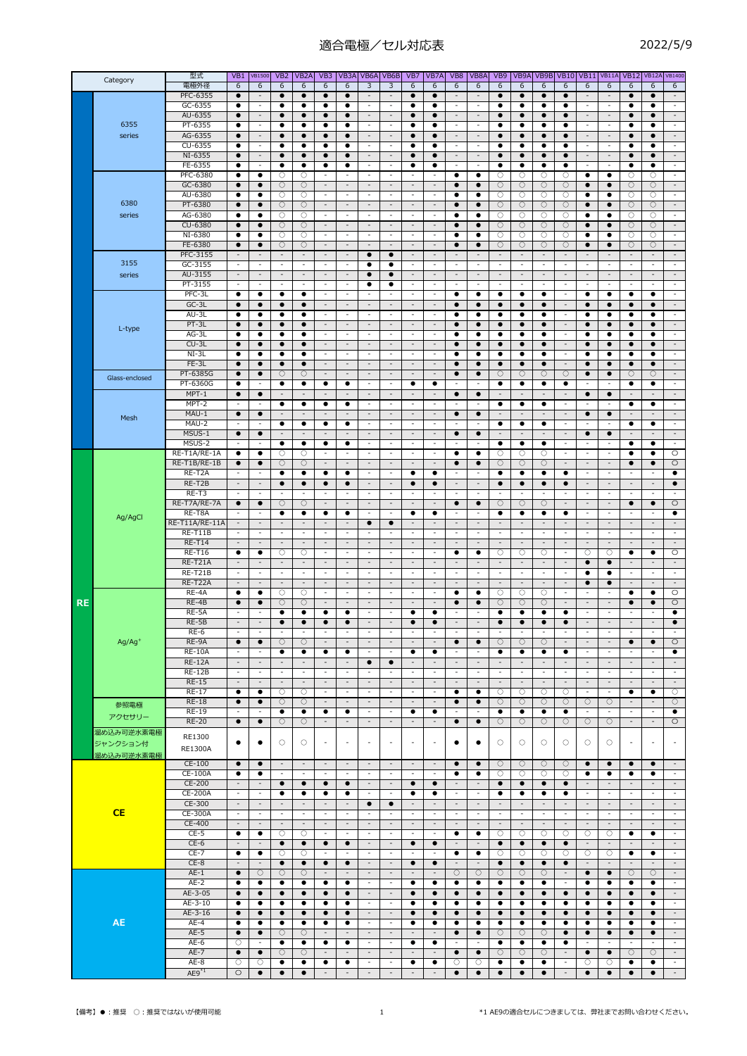適合電極/セル対応表

| T<br>Σ<br>$\overline{\phantom{a}}$ | o<br>Е |
|------------------------------------|--------|
|------------------------------------|--------|

|           | Category               | 型式                           | VB1                                   | <b>VB1500</b>                                        | VB <sub>2</sub>               | VB <sub>2</sub> A             | VB3                                                  | VB3A                                                 |                                                      | VB6A VB6B                                            | VB7                                                  | VB7A                                  | VB8                                                  | VB8A                                                 | VB <sub>9</sub>               | VB9A                          |                               | <b>VB9B VB10</b>                                     | VB11                                                 | <b>VB11A</b>                                         |                                                      | <b>VB12 VB12A</b>                                    | <b>VB1400</b>                                           |
|-----------|------------------------|------------------------------|---------------------------------------|------------------------------------------------------|-------------------------------|-------------------------------|------------------------------------------------------|------------------------------------------------------|------------------------------------------------------|------------------------------------------------------|------------------------------------------------------|---------------------------------------|------------------------------------------------------|------------------------------------------------------|-------------------------------|-------------------------------|-------------------------------|------------------------------------------------------|------------------------------------------------------|------------------------------------------------------|------------------------------------------------------|------------------------------------------------------|---------------------------------------------------------|
|           |                        | 電極外径<br>PFC-6355             | 6<br>$\bullet$                        | 6<br>$\overline{\phantom{a}}$                        | 6<br>$\bullet$                | 6<br>$\bullet$                | 6<br>$\bullet$                                       | 6<br>$\bullet$                                       | 3<br>$\overline{\phantom{a}}$                        | 3<br>$\overline{\phantom{a}}$                        | 6                                                    | 6<br>$\bullet$                        | 6<br>$\overline{\phantom{a}}$                        | 6<br>$\overline{\phantom{a}}$                        | 6<br>$\bullet$                | 6<br>$\bullet$                | 6<br>$\bullet$                | 6<br>$\bullet$                                       | 6<br>$\overline{\phantom{a}}$                        | 6<br>$\overline{\phantom{a}}$                        | 6<br>$\bullet$                                       | 6<br>$\bullet$                                       | 6<br>$\sim$                                             |
|           |                        | GC-6355                      | ٠                                     | $\overline{\phantom{a}}$                             | ٠                             | ٠                             | ٠                                                    | ٠                                                    | $\sim$                                               | $\sim$                                               |                                                      | ٠                                     | $\overline{\phantom{a}}$                             | $\overline{\phantom{a}}$                             | ٠                             | ٠                             | ٠                             | ٠                                                    | $\overline{\phantom{a}}$                             | $\overline{\phantom{a}}$                             | ٠                                                    | ٠                                                    | $\mathcal{L}_{\mathcal{A}}$                             |
|           |                        | AU-6355                      | $\bullet$                             | $\sim$                                               | $\bullet$                     | $\bullet$                     | $\bullet$                                            | $\bullet$                                            | $\sim$                                               | $\sim$                                               | $\bullet$                                            | $\bullet$                             | $\overline{\phantom{a}}$                             | $\overline{\phantom{a}}$                             | $\bullet$                     | $\bullet$                     | $\bullet$                     | $\bullet$                                            | $\overline{\phantom{a}}$                             | $\overline{\phantom{a}}$                             | $\bullet$                                            | $\bullet$                                            | $\sim$                                                  |
|           | 6355                   | PT-6355                      | $\bullet$                             | $\overline{\phantom{a}}$                             | $\bullet$                     | ٠                             | $\bullet$                                            | ٠                                                    | $\overline{\phantom{a}}$                             | $\overline{\phantom{a}}$                             |                                                      | ٠                                     | $\overline{\phantom{a}}$                             | $\overline{\phantom{a}}$                             | $\bullet$                     | $\bullet$                     | $\bullet$                     | $\bullet$                                            | $\overline{\phantom{a}}$                             | $\overline{\phantom{a}}$                             | $\bullet$                                            | ٠                                                    | $\blacksquare$                                          |
|           | series                 | AG-6355<br>CU-6355           | $\bullet$<br>$\bullet$                | $\overline{\phantom{a}}$<br>$\blacksquare$           | $\bullet$<br>٠                | $\bullet$<br>٠                | $\bullet$<br>$\bullet$                               | $\bullet$<br>٠                                       | $\sim$<br>$\blacksquare$                             | $\overline{\phantom{a}}$<br>$\overline{\phantom{a}}$ | $\bullet$                                            | $\bullet$<br>$\bullet$                | $\overline{\phantom{a}}$<br>$\overline{\phantom{a}}$ | $\overline{\phantom{a}}$<br>$\overline{\phantom{a}}$ | $\bullet$<br>$\bullet$        | $\bullet$<br>$\bullet$        | $\bullet$<br>٠                | $\bullet$<br>$\bullet$                               | $\sim$<br>$\overline{\phantom{a}}$                   | $\overline{\phantom{a}}$<br>$\overline{\phantom{a}}$ | $\bullet$<br>$\bullet$                               | $\bullet$<br>٠                                       | $\blacksquare$<br>$\blacksquare$                        |
|           |                        | NI-6355                      | $\bullet$                             | $\overline{\phantom{a}}$                             | $\bullet$                     | $\bullet$                     | $\bullet$                                            | $\bullet$                                            | $\overline{\phantom{a}}$                             | $\overline{\phantom{a}}$                             | $\bullet$                                            | $\bullet$                             | $\overline{\phantom{a}}$                             | $\overline{\phantom{a}}$                             | $\bullet$                     | $\bullet$                     | $\bullet$                     | $\bullet$                                            | $\overline{\phantom{a}}$                             | $\overline{\phantom{a}}$                             | $\bullet$                                            | $\bullet$                                            | $\overline{\phantom{a}}$                                |
|           |                        | FE-6355                      | $\bullet$                             | $\sim$                                               | ٠                             | $\bullet$                     | ٠                                                    | ٠                                                    | $\sim$                                               | $\sim$                                               |                                                      | $\bullet$                             | $\overline{a}$                                       | $\overline{a}$                                       | $\bullet$                     | ٠                             | ٠                             | ٠                                                    | $\overline{\phantom{a}}$                             | $\overline{a}$                                       | ٠                                                    | $\bullet$                                            | $\overline{\phantom{a}}$                                |
|           |                        | PFC-6380                     | ٠                                     | ٠                                                    | О                             | O                             | $\overline{\phantom{a}}$                             | $\overline{\phantom{a}}$                             | $\sim$                                               | $\sim$                                               | $\overline{\phantom{a}}$                             | $\sim$                                | ٠                                                    | ٠                                                    | 0                             | О                             | О                             | О                                                    | ٠                                                    | ٠                                                    | О                                                    | О                                                    | $\sim$                                                  |
|           |                        | GC-6380                      | $\bullet$<br>$\bullet$                | $\bullet$<br>$\bullet$                               | $\circ$                       | О<br>O                        | $\overline{\phantom{a}}$<br>$\overline{\phantom{a}}$ | $\overline{\phantom{a}}$<br>$\overline{\phantom{a}}$ | $\overline{\phantom{a}}$<br>$\overline{\phantom{a}}$ | $\overline{\phantom{a}}$<br>$\overline{\phantom{a}}$ | $\overline{a}$<br>$\overline{\phantom{a}}$           | $\overline{\phantom{a}}$<br>$\sim$    | $\bullet$<br>٠                                       | $\bullet$<br>$\bullet$                               | О                             | $\circ$                       | O<br>О                        | О                                                    | $\bullet$<br>$\bullet$                               | $\bullet$<br>$\bullet$                               | $\circ$                                              | О<br>O                                               | $\overline{\phantom{a}}$<br>$\overline{\phantom{a}}$    |
|           | 6380                   | AU-6380<br>PT-6380           | $\bullet$                             | $\bullet$                                            | $\circ$<br>$\circ$            | $\circ$                       | $\sim$                                               | $\overline{\phantom{a}}$                             | $\sim$                                               | $\sim$                                               | $\overline{\phantom{a}}$                             | $\overline{\phantom{a}}$              | $\bullet$                                            | $\bullet$                                            | О<br>$\bigcirc$               | $\circ$<br>$\bigcirc$         | $\circ$                       | О<br>$\bigcirc$                                      | $\bullet$                                            | $\bullet$                                            | $\circ$<br>$\bigcirc$                                | $\bigcirc$                                           | $\overline{\phantom{a}}$                                |
|           | series                 | AG-6380                      | ٠                                     | ٠                                                    | $\circ$                       | O                             | $\overline{\phantom{a}}$                             | $\overline{\phantom{a}}$                             | $\overline{\phantom{a}}$                             | $\overline{\phantom{a}}$                             | $\overline{a}$                                       | $\overline{\phantom{a}}$              | ٠                                                    | ٠                                                    | 0                             | $\circ$                       | О                             | $\circ$                                              | ٠                                                    | ٠                                                    | $\circ$                                              | О                                                    | $\blacksquare$                                          |
|           |                        | CU-6380                      | $\bullet$                             | $\bullet$                                            | $\circ$                       | $\bigcirc$                    | $\overline{\phantom{a}}$                             | $\overline{\phantom{a}}$                             | $\sim$                                               | $\sim$                                               | $\overline{\phantom{a}}$                             | $\sim$                                | $\bullet$                                            | $\bullet$                                            | $\circ$                       | $\bigcirc$                    | $\circ$                       | $\circ$                                              | $\bullet$                                            | $\bullet$                                            | $\circ$                                              | $\circ$                                              | $\blacksquare$                                          |
|           |                        | NI-6380<br>FE-6380           | ٠<br>$\bullet$                        | ٠<br>$\bullet$                                       | О<br>$\circ$                  | О<br>$\circ$                  | $\overline{\phantom{a}}$<br>$\overline{\phantom{a}}$ | $\overline{\phantom{a}}$<br>$\overline{\phantom{a}}$ | $\sim$<br>$\sim$                                     | $\overline{\phantom{a}}$<br>$\sim$                   | $\overline{\phantom{a}}$<br>$\overline{\phantom{a}}$ | $\sim$<br>$\sim$                      | ٠<br>$\bullet$                                       | ٠<br>$\bullet$                                       | О<br>$\circ$                  | О<br>$\bigcirc$               | О<br>$\circ$                  | О<br>$\circ$                                         | ٠<br>$\bullet$                                       | ٠<br>$\bullet$                                       | $\circ$<br>$\bigcirc$                                | О<br>$\circ$                                         | $\overline{\phantom{a}}$<br>$\sim$                      |
|           |                        | PFC-3155                     | $\overline{\phantom{a}}$              | $\sim$                                               | $\sim$                        | $\overline{\phantom{a}}$      | $\overline{\phantom{a}}$                             | $\overline{\phantom{a}}$                             | $\bullet$                                            | $\bullet$                                            | $\overline{\phantom{a}}$                             | $\overline{\phantom{a}}$              | $\overline{\phantom{a}}$                             | $\overline{\phantom{a}}$                             | $\sim$                        | $\sim$                        | $\overline{\phantom{a}}$      | $\overline{\phantom{a}}$                             | $\overline{\phantom{a}}$                             | $\overline{\phantom{a}}$                             | $\overline{\phantom{a}}$                             | $\overline{\phantom{a}}$                             | $\overline{\phantom{a}}$                                |
|           | 3155                   | GC-3155                      | $\overline{\phantom{a}}$              | $\overline{\phantom{a}}$                             | $\overline{\phantom{a}}$      | $\overline{\phantom{a}}$      | $\overline{\phantom{a}}$                             | $\overline{\phantom{a}}$                             | ٠                                                    | ٠                                                    | $\overline{\phantom{a}}$                             | $\overline{\phantom{a}}$              | $\overline{\phantom{a}}$                             | $\overline{\phantom{a}}$                             | $\overline{\phantom{a}}$      | $\overline{\phantom{a}}$      | $\overline{\phantom{a}}$      | $\overline{\phantom{a}}$                             | $\overline{\phantom{a}}$                             | $\overline{\phantom{a}}$                             | $\overline{\phantom{a}}$                             | $\overline{\phantom{a}}$                             | $\overline{\phantom{a}}$                                |
|           | series                 | AU-3155                      | $\overline{\phantom{a}}$              | $\overline{\phantom{a}}$                             | $\sim$                        | $\overline{\phantom{a}}$      | $\sim$                                               | $\sim$                                               | $\bullet$                                            | $\bullet$                                            | $\overline{\phantom{a}}$                             | $\overline{\phantom{a}}$              | $\overline{\phantom{a}}$                             | $\sim$                                               | $\sim$                        | $\overline{\phantom{a}}$      | $\sim$                        | $\overline{\phantom{a}}$                             | $\overline{\phantom{a}}$                             | $\overline{\phantom{a}}$                             | $\overline{\phantom{a}}$                             | $\overline{\phantom{a}}$                             | $\overline{\phantom{a}}$                                |
|           |                        | PT-3155<br>PFC-3L            | $\overline{\phantom{a}}$<br>$\bullet$ | $\sim$<br>$\bullet$                                  | $\overline{\phantom{a}}$<br>٠ | $\overline{\phantom{a}}$<br>٠ | $\sim$<br>$\overline{\phantom{a}}$                   | $\sim$<br>$\overline{\phantom{a}}$                   | ٠<br>$\overline{\phantom{a}}$                        | ٠<br>$\overline{a}$                                  | $\blacksquare$<br>$\overline{\phantom{a}}$           | $\sim$<br>$\blacksquare$              | $\blacksquare$<br>٠                                  | $\overline{\phantom{a}}$<br>$\bullet$                | $\sim$<br>$\bullet$           | $\sim$<br>٠                   | $\sim$<br>٠                   | $\blacksquare$<br>$\overline{\phantom{a}}$           | $\overline{\phantom{a}}$<br>$\bullet$                | $\overline{\phantom{a}}$<br>٠                        | $\blacksquare$<br>$\bullet$                          | $\overline{\phantom{a}}$<br>٠                        | $\sim$<br>$\overline{\phantom{a}}$                      |
|           |                        | $GC-3L$                      | $\bullet$                             | $\bullet$                                            | $\bullet$                     | $\bullet$                     | $\sim$                                               | $\overline{\phantom{a}}$                             | $\overline{\phantom{a}}$                             | $\sim$                                               | $\overline{\phantom{a}}$                             | $\sim$                                | $\bullet$                                            | $\bullet$                                            | $\bullet$                     | $\bullet$                     | $\bullet$                     | $\overline{\phantom{a}}$                             | $\bullet$                                            | $\bullet$                                            | $\bullet$                                            | $\bullet$                                            | $\blacksquare$                                          |
|           |                        | AU-3L                        | ٠                                     | ٠                                                    | ٠                             | ٠                             | $\overline{\phantom{a}}$                             | $\overline{\phantom{a}}$                             | $\overline{\phantom{a}}$                             | $\overline{\phantom{a}}$                             | $\overline{\phantom{a}}$                             | $\sim$                                | ٠                                                    | ٠                                                    | ٠                             | ٠                             | ٠                             | $\overline{\phantom{a}}$                             | ٠                                                    | ٠                                                    | ٠                                                    | ٠                                                    | $\sim$                                                  |
|           | L-type                 | PT-3L                        | $\bullet$                             | $\bullet$                                            | $\bullet$                     | $\bullet$                     | $\overline{\phantom{a}}$                             | $\overline{\phantom{a}}$                             | $\sim$                                               | $\sim$                                               | $\overline{\phantom{a}}$                             | $\sim$                                | $\bullet$                                            | $\bullet$                                            | $\bullet$                     | $\bullet$                     | $\bullet$                     | $\overline{\phantom{a}}$                             | $\bullet$                                            | $\bullet$                                            | $\bullet$                                            | $\bullet$                                            | $\sim$                                                  |
|           |                        | AG-3L<br>$CU-3L$             | $\bullet$<br>$\bullet$                | $\bullet$<br>$\bullet$                               | $\bullet$<br>$\bullet$        | $\bullet$<br>$\bullet$        | $\overline{\phantom{a}}$<br>$\overline{\phantom{a}}$ | $\overline{\phantom{a}}$<br>$\overline{\phantom{a}}$ | $\overline{\phantom{a}}$<br>$\sim$                   | $\overline{\phantom{a}}$<br>$\overline{\phantom{a}}$ | $\overline{\phantom{a}}$<br>$\overline{\phantom{a}}$ | $\overline{\phantom{a}}$<br>$\sim$    | $\bullet$<br>$\bullet$                               | $\bullet$<br>$\bullet$                               | $\bullet$<br>$\bullet$        | $\bullet$<br>$\bullet$        | $\bullet$<br>$\bullet$        | $\overline{\phantom{a}}$<br>$\overline{\phantom{a}}$ | $\bullet$<br>$\bullet$                               | $\bullet$<br>$\bullet$                               | $\bullet$<br>$\bullet$                               | $\bullet$<br>$\bullet$                               | $\blacksquare$<br>$\sim$                                |
|           |                        | NI-3L                        | $\bullet$                             | ٠                                                    | ٠                             | ٠                             | $\overline{\phantom{a}}$                             | $\overline{\phantom{a}}$                             | $\blacksquare$                                       | $\overline{\phantom{a}}$                             | $\overline{\phantom{a}}$                             | $\overline{\phantom{a}}$              | ٠                                                    | ٠                                                    | ٠                             | ٠                             | $\bullet$                     | $\blacksquare$                                       | ٠                                                    | ٠                                                    | ٠                                                    | ٠                                                    | $\blacksquare$                                          |
|           |                        | FE-3L                        | $\bullet$                             | $\bullet$                                            | $\bullet$                     | $\bullet$                     | $\sim$                                               | $\overline{\phantom{a}}$                             | $\sim$                                               | $\sim$                                               | ÷,                                                   | $\sim$                                | $\bullet$                                            | $\bullet$                                            | $\bullet$                     | $\bullet$                     | $\bullet$                     | $\blacksquare$                                       | $\bullet$                                            | $\bullet$                                            | $\bullet$                                            | $\bullet$                                            | $\blacksquare$                                          |
|           | Glass-enclosed         | PT-6385G                     | $\bullet$                             | $\bullet$                                            | O                             | O                             | $\sim$                                               | $\overline{\phantom{a}}$                             | $\sim$                                               | $\sim$                                               | $\overline{\phantom{a}}$                             | $\overline{\phantom{a}}$              | $\bullet$                                            | $\bullet$                                            | О                             | O                             | O                             | О                                                    | $\bullet$                                            | $\bullet$                                            | О                                                    | O                                                    | $\sim$                                                  |
|           |                        | PT-6360G<br>MPT-1            | ٠<br>$\bullet$                        | $\overline{a}$<br>$\bullet$                          | ٠<br>$\overline{\phantom{a}}$ | ٠<br>$\overline{\phantom{a}}$ | ٠<br>$\overline{\phantom{a}}$                        | ٠<br>$\overline{\phantom{a}}$                        | $\sim$<br>$\sim$                                     | $\sim$<br>$\overline{\phantom{a}}$                   | $\overline{\phantom{a}}$                             | ٠<br>$\overline{\phantom{a}}$         | ٠<br>$\bullet$                                       | ÷<br>$\bullet$                                       | ٠<br>$\overline{\phantom{a}}$ | ٠<br>$\overline{\phantom{a}}$ | ٠<br>$\overline{\phantom{a}}$ | ٠<br>$\overline{\phantom{a}}$                        | ÷<br>$\bullet$                                       | ٠<br>$\bullet$                                       | ٠<br>$\overline{\phantom{a}}$                        | ٠<br>$\overline{\phantom{a}}$                        | $\mathcal{L}_{\mathcal{A}}$<br>$\overline{\phantom{a}}$ |
|           |                        | MPT-2                        | $\overline{\phantom{a}}$              |                                                      | $\bullet$                     | ٠                             | $\bullet$                                            | $\bullet$                                            | $\overline{\phantom{a}}$                             | $\overline{\phantom{a}}$                             | $\overline{\phantom{a}}$                             | $\sim$                                | $\overline{\phantom{a}}$                             | $\overline{\phantom{a}}$                             | $\bullet$                     | $\bullet$                     | $\bullet$                     | $\overline{\phantom{a}}$                             | ٠                                                    | $\overline{\phantom{a}}$                             | $\bullet$                                            | ٠                                                    | $\blacksquare$                                          |
|           | Mesh                   | MAU-1                        | $\bullet$                             | $\bullet$                                            | $\overline{a}$                | $\overline{\phantom{a}}$      | $\sim$                                               | $\overline{\phantom{a}}$                             | $\overline{\phantom{a}}$                             | $\overline{\phantom{a}}$                             | $\overline{\phantom{a}}$                             | $\overline{\phantom{a}}$              | $\bullet$                                            | $\bullet$                                            | $\overline{\phantom{a}}$      | $\overline{\phantom{a}}$      | $\overline{\phantom{a}}$      | $\overline{\phantom{a}}$                             | $\bullet$                                            | $\bullet$                                            | $\overline{\phantom{a}}$                             | $\overline{\phantom{a}}$                             | $\blacksquare$                                          |
|           |                        | MAU-2<br>MSUS-1              | $\overline{\phantom{a}}$<br>$\bullet$ | $\overline{\phantom{a}}$<br>$\bullet$                | ٠<br>$\overline{\phantom{a}}$ | ٠<br>$\overline{\phantom{a}}$ | ٠<br>$\overline{\phantom{a}}$                        | ٠                                                    | $\sim$<br>$\overline{\phantom{a}}$                   | $\sim$<br>$\overline{\phantom{a}}$                   | $\overline{\phantom{a}}$<br>$\overline{\phantom{a}}$ | $\sim$<br>$\overline{\phantom{a}}$    | $\overline{\phantom{a}}$<br>$\bullet$                | $\overline{\phantom{a}}$<br>$\bullet$                | ٠<br>$\overline{\phantom{a}}$ | ٠<br>$\overline{\phantom{a}}$ | ٠<br>$\overline{\phantom{a}}$ | $\overline{\phantom{a}}$<br>$\overline{\phantom{a}}$ | $\overline{\phantom{a}}$<br>$\bullet$                | $\overline{\phantom{a}}$<br>$\bullet$                | ٠<br>$\qquad \qquad \blacksquare$                    | ٠<br>$\overline{\phantom{a}}$                        | $\sim$<br>$\overline{\phantom{a}}$                      |
|           |                        | MSUS-2                       | $\overline{a}$                        | $\overline{a}$                                       | $\bullet$                     | ٠                             | $\bullet$                                            | $\bullet$                                            | $\sim$                                               | $\sim$                                               | L,                                                   | $\sim$                                | $\overline{a}$                                       | $\overline{a}$                                       | $\bullet$                     | $\bullet$                     | $\bullet$                     | $\sim$                                               |                                                      | $\overline{a}$                                       | $\bullet$                                            | $\bullet$                                            | $\sim$                                                  |
|           |                        | RE-T1A/RE-1A                 | ٠                                     | ٠                                                    | О                             | $\circ$                       | $\sim$                                               | $\overline{\phantom{a}}$                             | $\sim$                                               | $\sim$                                               | $\sim$                                               | $\sim$                                | ٠                                                    | ٠                                                    | $\circ$                       | $\circ$                       | O                             | $\sim$                                               | $\overline{\phantom{a}}$                             | $\sim$                                               | ٠                                                    | ٠                                                    | $\circ$                                                 |
|           | Ag/AgCl                | RE-T1B/RE-1B<br>RE-T2A       | $\bullet$<br>$\overline{\phantom{a}}$ | $\bullet$<br>$\overline{a}$                          | $\circ$<br>$\bullet$          | $\circ$<br>$\bullet$          | $\overline{\phantom{a}}$<br>$\bullet$                | $\overline{\phantom{a}}$<br>$\bullet$                | $\sim$<br>$\overline{\phantom{a}}$                   | $\overline{\phantom{a}}$<br>$\sim$                   | $\overline{a}$<br>٠                                  | $\overline{\phantom{a}}$<br>$\bullet$ | $\bullet$                                            | $\bullet$<br>$\overline{a}$                          | $\circ$<br>$\bullet$          | $\circ$<br>$\bullet$          | $\circ$<br>$\bullet$          | $\overline{\phantom{a}}$<br>٠                        | $\sim$<br>$\overline{\phantom{a}}$                   | $\overline{\phantom{a}}$<br>$\overline{\phantom{a}}$ | $\bullet$<br>$\overline{a}$                          | $\bullet$                                            | $\circ$<br>$\bullet$                                    |
|           |                        | RE-T2B                       | $\overline{\phantom{a}}$              | $\sim$                                               | $\bullet$                     | $\bullet$                     | $\bullet$                                            | $\bullet$                                            | $\sim$                                               | $\overline{\phantom{a}}$                             | $\bullet$                                            | $\bullet$                             | $\overline{\phantom{a}}$                             | $\overline{\phantom{a}}$                             | $\bullet$                     | $\bullet$                     | $\bullet$                     | $\bullet$                                            | $\overline{\phantom{a}}$                             | $\overline{\phantom{a}}$                             | $\overline{\phantom{a}}$                             | $\sim$                                               | $\bullet$                                               |
|           |                        | RE-T3                        | $\overline{\phantom{a}}$              | $\overline{a}$                                       | $\overline{a}$                | $\overline{\phantom{a}}$      | $\overline{\phantom{a}}$                             | $\overline{\phantom{a}}$                             | $\overline{\phantom{a}}$                             | $\overline{a}$                                       |                                                      | $\overline{\phantom{a}}$              | ٠                                                    | $\overline{\phantom{a}}$                             | $\overline{\phantom{a}}$      | $\overline{\phantom{a}}$      |                               | $\overline{\phantom{a}}$                             | $\overline{a}$                                       | $\overline{\phantom{a}}$                             | $\overline{\phantom{a}}$                             | $\overline{\phantom{a}}$                             | $\overline{a}$                                          |
|           |                        | RE-T7A/RE-7A                 | $\bullet$                             | $\bullet$                                            | $\circ$                       | $\circ$                       | $\sim$                                               | $\overline{\phantom{a}}$                             | $\sim$                                               | $\sim$                                               | $\sim$                                               | $\sim$                                | $\bullet$                                            | $\bullet$                                            | $\circ$                       | $\circ$                       | $\circ$                       | $\sim$                                               | $\sim$                                               | $\overline{\phantom{a}}$                             | $\bullet$                                            | $\bullet$                                            | $\circ$                                                 |
|           |                        | RE-T8A<br>RE-T11A/RE-11A     | $\overline{a}$<br>$\sim$              | $\overline{\phantom{a}}$<br>$\blacksquare$           | ٠<br>$\overline{a}$           | ٠<br>$\overline{\phantom{a}}$ | ٠<br>$\overline{\phantom{a}}$                        | ٠<br>$\overline{\phantom{a}}$                        | $\overline{\phantom{a}}$<br>$\bullet$                | $\overline{\phantom{a}}$<br>$\bullet$                | ٠                                                    | ٠<br>$\sim$                           | $\overline{\phantom{a}}$<br>$\overline{\phantom{a}}$ | $\overline{\phantom{a}}$<br>$\sim$                   | ٠<br>$\sim$                   | ٠<br>$\overline{\phantom{a}}$ | ٠<br>$\sim$                   | ٠<br>$\overline{a}$                                  | $\overline{\phantom{a}}$<br>$\overline{\phantom{a}}$ | $\overline{\phantom{a}}$<br>$\overline{\phantom{a}}$ | $\overline{\phantom{a}}$<br>$\sim$                   | $\overline{\phantom{a}}$<br>$\overline{\phantom{a}}$ | $\bullet$<br>$\mathbf{r}$                               |
|           |                        | RE-T11B                      | $\overline{\phantom{a}}$              | $\sim$                                               | $\overline{\phantom{a}}$      | $\overline{\phantom{a}}$      | $\overline{\phantom{a}}$                             | $\sim$                                               | $\sim$                                               | $\sim$                                               | $\overline{\phantom{a}}$                             | $\sim$                                | $\overline{\phantom{a}}$                             | $\overline{\phantom{a}}$                             | $\sim$                        | $\sim$                        | $\sim$                        | $\blacksquare$                                       | $\overline{\phantom{a}}$                             | $\overline{\phantom{a}}$                             | $\overline{\phantom{a}}$                             | $\overline{\phantom{a}}$                             | $\sim$                                                  |
|           |                        | <b>RE-T14</b>                | $\overline{\phantom{a}}$              | $\overline{\phantom{a}}$                             | $\overline{\phantom{a}}$      | $\overline{\phantom{a}}$      | $\overline{\phantom{a}}$                             | $\overline{\phantom{a}}$                             | $\sim$                                               | $\overline{\phantom{a}}$                             | $\overline{\phantom{a}}$                             | $\overline{\phantom{a}}$              | $\overline{\phantom{a}}$                             | $\overline{\phantom{a}}$                             | $\overline{\phantom{a}}$      | $\overline{\phantom{a}}$      | $\overline{\phantom{a}}$      | $\overline{\phantom{a}}$                             | $\overline{\phantom{a}}$                             | $\overline{\phantom{a}}$                             | $\overline{\phantom{a}}$                             | $\overline{\phantom{a}}$                             | $\overline{\phantom{a}}$                                |
|           |                        | <b>RE-T16</b><br>RE-T21A     | ٠<br>$\sim$                           | ٠<br>$\sim$                                          | $\circ$<br>$\sim$             | O<br>$\overline{\phantom{a}}$ | $\overline{\phantom{a}}$<br>$\sim$                   | $\overline{\phantom{a}}$<br>$\overline{\phantom{a}}$ | $\sim$<br>$\sim$                                     | $\sim$<br>$\sim$                                     | $\overline{\phantom{a}}$<br>$\overline{\phantom{a}}$ | $\sim$<br>$\sim$                      | ٠<br>$\overline{\phantom{a}}$                        | ٠<br>$\overline{\phantom{a}}$                        | О<br>$\sim$                   | О<br>$\sim$                   | О<br>$\sim$                   | $\overline{\phantom{a}}$<br>$\sim$                   | $\circ$<br>$\bullet$                                 | O<br>$\bullet$                                       | ٠<br>$\sim$                                          | ٠<br>$\overline{\phantom{a}}$                        | $\overline{\circ}$<br>$\sim$                            |
|           |                        | RE-T21B                      | $\overline{\phantom{a}}$              | $\overline{\phantom{a}}$                             | $\overline{\phantom{a}}$      | $\overline{\phantom{a}}$      | $\overline{\phantom{a}}$                             | $\overline{\phantom{a}}$                             | $\overline{\phantom{a}}$                             | $\overline{\phantom{a}}$                             | $\qquad \qquad \blacksquare$                         | $\overline{\phantom{a}}$              | $\overline{\phantom{a}}$                             | $\overline{a}$                                       | $\overline{\phantom{a}}$      | $\overline{\phantom{a}}$      | $\overline{\phantom{a}}$      | $\overline{\phantom{a}}$                             | ٠                                                    | ٠                                                    | $\overline{\phantom{a}}$                             | $\overline{\phantom{a}}$                             | $\overline{\phantom{a}}$                                |
|           |                        | RE-T22A                      | $\overline{a}$                        | $\sim$                                               | $\overline{a}$                | $\overline{\phantom{a}}$      | $\overline{\phantom{a}}$                             | $\overline{\phantom{a}}$                             | $\mathbf{r}$                                         | $\overline{\phantom{a}}$                             | L,                                                   | $\overline{\phantom{a}}$              | $\overline{\phantom{a}}$                             | $\overline{\phantom{a}}$                             | $\overline{\phantom{a}}$      | $\overline{\phantom{a}}$      | $\overline{a}$                | $\overline{\phantom{a}}$                             | $\bullet$                                            | $\bullet$                                            | $\overline{\phantom{a}}$                             | $\overline{\phantom{a}}$                             | $\blacksquare$                                          |
|           |                        | RE-4A                        | ٠<br>$\bullet$                        | ٠                                                    | О                             | О                             | $\overline{\phantom{a}}$<br>$\overline{\phantom{a}}$ | $\overline{\phantom{a}}$<br>$\overline{\phantom{a}}$ | $\overline{\phantom{a}}$<br>$\overline{\phantom{a}}$ | $\overline{\phantom{a}}$<br>$\overline{\phantom{a}}$ | $\overline{\phantom{a}}$<br>$\overline{\phantom{a}}$ | $\overline{\phantom{a}}$<br>$\sim$    | ٠<br>$\bullet$                                       | ٠<br>$\bullet$                                       | О                             | О                             | О                             | $\overline{\phantom{a}}$<br>$\overline{\phantom{a}}$ | $\overline{\phantom{a}}$<br>$\overline{\phantom{a}}$ | $\overline{\phantom{a}}$<br>$\overline{\phantom{a}}$ | ٠                                                    | ٠                                                    | $\circ$<br>$\circ$                                      |
| <b>RE</b> |                        | RE-4B<br>RE-5A               |                                       | $\bullet$<br>$\overline{a}$                          | $\circ$<br>$\bullet$          | О<br>٠                        | $\bullet$                                            | $\bullet$                                            | $\sim$                                               | $\sim$                                               | ٠                                                    | $\bullet$                             |                                                      | $\ddot{\phantom{1}}$                                 | О<br>$\bullet$                | $\circ$<br>$\bullet$          | $\circ$<br>$\bullet$          | ٠                                                    | $\sim$                                               | $\overline{\phantom{a}}$                             | $\bullet$<br>$\overline{\phantom{a}}$                | $\bullet$                                            | $\bullet$                                               |
|           |                        | RE-5B                        | $\overline{\phantom{a}}$              | $\overline{\phantom{a}}$                             | $\bullet$                     | $\bullet$                     | $\bullet$                                            | $\bullet$                                            | $\overline{\phantom{a}}$                             | $\overline{\phantom{a}}$                             | $\bullet$                                            | $\bullet$                             | $\overline{\phantom{a}}$                             | $\overline{\phantom{a}}$                             | $\bullet$                     | $\bullet$                     | $\bullet$                     | $\bullet$                                            | $\overline{\phantom{a}}$                             | $\overline{\phantom{a}}$                             | $\overline{\phantom{a}}$                             | $\overline{\phantom{a}}$                             | $\bullet$                                               |
|           |                        | RE-6                         | $\overline{\phantom{a}}$              | $\overline{\phantom{a}}$                             | $\overline{\phantom{a}}$      | $\overline{\phantom{a}}$      | $\overline{\phantom{a}}$                             | $\overline{\phantom{a}}$                             | $\sim$                                               | $\overline{\phantom{a}}$                             | $\overline{\phantom{a}}$                             | $\sim$                                | ٠                                                    | $\overline{a}$                                       | $\overline{\phantom{a}}$      | $\overline{\phantom{a}}$      | $\sim$                        | $\overline{\phantom{a}}$                             | $\overline{\phantom{a}}$                             | $\overline{\phantom{a}}$                             | $\overline{\phantom{a}}$                             | $\overline{\phantom{a}}$                             |                                                         |
|           | $Ag/Ag+$               | $RE-9A$<br><b>RE-10A</b>     | $\bullet$<br>$\overline{\phantom{a}}$ | $\bullet$<br>$\overline{\phantom{a}}$                | $\circ$<br>٠                  | $\circ$<br>٠                  | $\sim$<br>$\bullet$                                  | $\sim$<br>$\bullet$                                  | $\sim$<br>$\overline{\phantom{a}}$                   | $\sim$<br>$\overline{\phantom{a}}$                   | $\overline{\phantom{a}}$<br>$\bullet$                | $\sim$<br>$\bullet$                   | $\bullet$<br>$\overline{\phantom{a}}$                | $\bullet$<br>$\overline{\phantom{a}}$                | $\circ$<br>$\bullet$          | $\circ$<br>٠                  | $\circ$<br>٠                  | $\sim$<br>$\bullet$                                  | $\sim$<br>$\overline{\phantom{a}}$                   | $\overline{\phantom{a}}$<br>$\overline{\phantom{a}}$ | $\bullet$<br>$\overline{\phantom{a}}$                | $\bullet$<br>$\overline{\phantom{a}}$                | $\circ$<br>$\bullet$                                    |
|           |                        | <b>RE-12A</b>                | $\sim$                                | $\blacksquare$                                       | $\overline{\phantom{a}}$      | $\overline{\phantom{a}}$      | $\overline{\phantom{a}}$                             | $\overline{\phantom{a}}$                             | $\bullet$                                            | $\bullet$                                            | $\overline{\phantom{a}}$                             | $\sim$                                | $\sim$                                               | $\overline{\phantom{a}}$                             | $\overline{\phantom{a}}$      | $\sim$                        | $\sim$                        | $\overline{\phantom{a}}$                             | $\sim$                                               | $\sim$                                               | $\overline{\phantom{a}}$                             | $\sim$                                               | $\sim$                                                  |
|           |                        | <b>RE-12B</b>                | $\overline{\phantom{a}}$              | $\sim$                                               | $\overline{\phantom{a}}$      | $\overline{\phantom{a}}$      | $\overline{\phantom{a}}$                             | $\overline{\phantom{a}}$                             | $\blacksquare$                                       | $\overline{\phantom{a}}$                             | $\overline{\phantom{a}}$                             | $\sim$                                | $\overline{\phantom{a}}$                             | $\overline{\phantom{a}}$                             | $\sim$                        | $\overline{\phantom{a}}$      | $\overline{\phantom{a}}$      | $\blacksquare$                                       | $\overline{\phantom{a}}$                             | $\overline{\phantom{a}}$                             | $\blacksquare$                                       | $\sim$                                               | $\blacksquare$                                          |
|           |                        | <b>RE-15</b><br><b>RE-17</b> | $\overline{\phantom{a}}$<br>٠         | $\overline{\phantom{a}}$                             | $\overline{\phantom{a}}$      | $\overline{\phantom{a}}$<br>О | $\overline{\phantom{a}}$<br>$\sim$                   | $\overline{\phantom{a}}$<br>$\overline{a}$           | $\overline{\phantom{a}}$<br>$\sim$                   | $\overline{\phantom{a}}$<br>$\sim$                   | $\overline{\phantom{a}}$<br>$\overline{\phantom{a}}$ | $\overline{\phantom{a}}$<br>$\sim$    | $\overline{\phantom{a}}$<br>٠                        | $\overline{\phantom{a}}$                             | $\sim$                        | $\overline{\phantom{a}}$      | $\sim$<br>$\circ$             | $\overline{\phantom{a}}$                             | $\overline{\phantom{a}}$<br>$\sim$                   | $\overline{\phantom{a}}$<br>$\overline{a}$           | $\overline{\phantom{a}}$                             | $\overline{\phantom{a}}$                             | $\overline{\phantom{a}}$<br>О                           |
|           |                        | <b>RE-18</b>                 | $\bullet$                             | ٠<br>$\bullet$                                       | $\circ$<br>$\circ$            | $\circ$                       | $\sim$                                               | $\overline{\phantom{a}}$                             | $\sim$                                               | $\sim$                                               | $\sim$                                               | $\sim$                                | $\bullet$                                            | ٠<br>$\bullet$                                       | О<br>$\circ$                  | О<br>$\circ$                  | $\circ$                       | О<br>$\circ$                                         | $\circ$                                              | $\circ$                                              | ٠<br>$\sim$                                          | ٠<br>$\sim$                                          | $\circ$                                                 |
|           | 参照電極<br>アクセサリー         | <b>RE-19</b>                 | $\overline{\phantom{a}}$              |                                                      | ٠                             | ٠                             | $\bullet$                                            | ٠                                                    | $\overline{\phantom{a}}$                             | $\overline{\phantom{a}}$                             | ٠                                                    | ٠                                     | $\overline{\phantom{a}}$                             | $\overline{a}$                                       | ٠                             | ٠                             | ٠                             | ٠                                                    | $\overline{\phantom{a}}$                             | $\overline{\phantom{a}}$                             | $\overline{\phantom{a}}$                             | $\overline{\phantom{a}}$                             | ٠                                                       |
|           |                        | <b>RE-20</b>                 | $\bullet$                             | $\bullet$                                            | $\circ$                       | $\circ$                       | $\overline{\phantom{a}}$                             | $\overline{\phantom{a}}$                             | $\overline{\phantom{a}}$                             | $\sim$                                               | $\overline{\phantom{a}}$                             | $\overline{\phantom{a}}$              | $\bullet$                                            | $\bullet$                                            | $\bigcirc$                    | $\circ$                       | $\bigcirc$                    | $\bigcirc$                                           | $\bigcirc$                                           | $\circ$                                              | $\sim$                                               | $\overline{\phantom{a}}$                             | $\circ$                                                 |
|           | 溜め込み可逆水素電極<br>ジャンクション付 | RE1300                       | ٠                                     | $\bullet$                                            | О                             | О                             | $\sim$                                               | $\overline{\phantom{a}}$                             | $\overline{\phantom{a}}$                             | $\overline{\phantom{a}}$                             | $\overline{\phantom{a}}$                             | $\sim$                                | ٠                                                    | $\bullet$                                            | $\circ$                       | О                             | О                             | $\circ$                                              | О                                                    | $\bigcirc$                                           | $\sim$                                               | $\overline{\phantom{a}}$                             | $\sim$                                                  |
|           | 溜め込み可逆水素電極             | <b>RE1300A</b>               |                                       |                                                      |                               |                               |                                                      |                                                      |                                                      |                                                      |                                                      |                                       |                                                      |                                                      |                               |                               |                               |                                                      |                                                      |                                                      |                                                      |                                                      |                                                         |
|           |                        | CE-100                       | $\bullet$                             | $\bullet$                                            | $\overline{\phantom{a}}$      | $\overline{\phantom{a}}$      | $\overline{\phantom{a}}$                             | $\overline{\phantom{a}}$                             | $\sim$                                               | $\overline{\phantom{a}}$                             | $\overline{\phantom{a}}$                             | $\sim$                                | $\bullet$                                            | $\bullet$                                            | $\circ$                       | $\circ$                       | $\circ$                       | $\circ$                                              | $\bullet$                                            | $\bullet$                                            | $\bullet$                                            | $\bullet$                                            | $\sim$                                                  |
|           |                        | CE-100A<br>CE-200            | ٠                                     | $\bullet$                                            | $\sim$                        | $\sim$                        | $\sim$                                               | $\overline{\phantom{a}}$                             | $\sim$                                               | $\sim$                                               | $\sim$                                               | $\sim$                                | ٠                                                    | $\bullet$                                            | O                             | О                             | O                             | 0                                                    | ٠                                                    | $\bullet$                                            | ٠                                                    | ٠                                                    | $\sim$                                                  |
|           |                        | <b>CE-200A</b>               | $\overline{\phantom{a}}$<br>$\sim$    | $\overline{\phantom{a}}$<br>$\overline{\phantom{a}}$ | $\bullet$<br>$\bullet$        | $\bullet$<br>٠                | $\bullet$<br>$\bullet$                               | $\bullet$<br>$\bullet$                               | $\overline{\phantom{a}}$<br>$\sim$                   | $\overline{\phantom{a}}$<br>$\overline{\phantom{a}}$ | $\bullet$                                            | $\bullet$<br>٠                        | $\overline{\phantom{a}}$<br>$\overline{\phantom{a}}$ | $\overline{\phantom{a}}$<br>$\overline{\phantom{a}}$ | $\bullet$<br>٠                | $\bullet$<br>٠                | $\bullet$<br>٠                | $\bullet$<br>٠                                       | $\overline{\phantom{a}}$<br>$\overline{\phantom{a}}$ | $\overline{\phantom{a}}$<br>$\overline{\phantom{a}}$ | $\overline{\phantom{a}}$<br>$\overline{\phantom{a}}$ | $\overline{\phantom{a}}$<br>$\overline{\phantom{a}}$ | $\overline{\phantom{a}}$<br>$\blacksquare$              |
|           |                        | CE-300                       | $\sim$                                | $\sim$                                               | $\overline{\phantom{a}}$      | $\overline{\phantom{a}}$      | $\sim$                                               | $\overline{\phantom{a}}$                             | $\bullet$                                            | $\bullet$                                            | $\overline{\phantom{a}}$                             | $\sim$                                | $\overline{\phantom{a}}$                             | $\overline{\phantom{a}}$                             | $\sim$                        | $\overline{\phantom{a}}$      | $\sim$                        | $\sim$                                               | $\sim$                                               | $\overline{\phantom{a}}$                             | $\sim$                                               | $\sim$                                               | $\sim$                                                  |
|           | <b>CE</b>              | CE-300A                      | $\overline{\phantom{a}}$              | $\sim$                                               | $\overline{\phantom{a}}$      | $\overline{\phantom{a}}$      | $\blacksquare$                                       | $\overline{\phantom{a}}$                             | $\overline{\phantom{a}}$                             | $\overline{\phantom{a}}$                             | $\overline{\phantom{a}}$                             | $\sim$                                | $\overline{\phantom{a}}$                             | $\overline{\phantom{a}}$                             | $\blacksquare$                | $\overline{\phantom{a}}$      | $\overline{\phantom{a}}$      | $\overline{\phantom{a}}$                             | $\overline{\phantom{a}}$                             | $\overline{\phantom{a}}$                             | $\overline{\phantom{a}}$                             | $\overline{\phantom{a}}$                             | $\blacksquare$                                          |
|           |                        | CE-400<br>$CE-5$             | $\sim$<br>٠                           | $\overline{\phantom{a}}$<br>٠                        | $\sim$<br>О                   | $\sim$<br>О                   | $\overline{\phantom{a}}$<br>$\sim$                   | $\overline{\phantom{a}}$<br>$\overline{\phantom{a}}$ | $\blacksquare$<br>$\sim$                             | $\sim$<br>$\sim$                                     | $\overline{\phantom{a}}$<br>$\sim$                   | $\sim$<br>$\sim$                      | $\overline{\phantom{a}}$<br>٠                        | $\overline{\phantom{a}}$<br>٠                        | $\sim$<br>0                   | $\overline{\phantom{a}}$<br>О | $\sim$<br>О                   | $\overline{\phantom{a}}$<br>0                        | $\overline{\phantom{a}}$<br>О                        | $\overline{\phantom{a}}$<br>О                        | $\sim$<br>٠                                          | $\sim$<br>٠                                          | $\blacksquare$<br>$\sim$                                |
|           |                        | $CE-6$                       | $\overline{\phantom{a}}$              | $\overline{\phantom{a}}$                             | $\bullet$                     | $\bullet$                     | $\bullet$                                            | $\bullet$                                            | $\overline{\phantom{a}}$                             | $\overline{\phantom{a}}$                             | $\bullet$                                            | $\bullet$                             | $\overline{\phantom{a}}$                             | $\overline{\phantom{a}}$                             | $\bullet$                     | $\bullet$                     | $\bullet$                     | $\bullet$                                            | $\overline{\phantom{a}}$                             | $\overline{\phantom{a}}$                             | $\overline{\phantom{a}}$                             | $\overline{\phantom{a}}$                             | $\overline{\phantom{a}}$                                |
|           |                        | $CE-7$                       | $\bullet$                             | $\bullet$                                            | $\circ$                       | О                             | $\overline{\phantom{a}}$                             | $\overline{\phantom{a}}$                             | $\blacksquare$                                       | $\overline{\phantom{a}}$                             | $\overline{\phantom{a}}$                             | $\overline{\phantom{a}}$              | ٠                                                    | $\bullet$                                            | 0                             | О                             | О                             | О                                                    | О                                                    | $\circ$                                              | $\bullet$                                            | ٠                                                    | $\overline{\phantom{a}}$                                |
|           |                        | $CE-8$<br>$AE-1$             | $\overline{\phantom{a}}$<br>$\bullet$ | $\sim$<br>$\circ$                                    | $\bullet$<br>$\circ$          | $\bullet$<br>О                | $\bullet$<br>$\overline{\phantom{a}}$                | $\bullet$<br>$\overline{\phantom{a}}$                | $\sim$<br>$\sim$                                     | $\sim$<br>$\overline{\phantom{a}}$                   | $\bullet$<br>$\overline{\phantom{a}}$                | $\bullet$<br>$\overline{\phantom{a}}$ | $\overline{\phantom{a}}$<br>О                        | $\overline{\phantom{a}}$<br>$\circ$                  | $\bullet$<br>О                | $\bullet$<br>$\circ$          | $\bullet$<br>О                | $\bullet$<br>$\overline{\phantom{a}}$                | $\overline{\phantom{a}}$<br>$\bullet$                | $\overline{\phantom{a}}$<br>$\bullet$                | $\overline{\phantom{a}}$<br>О                        | $\overline{\phantom{a}}$<br>О                        | $\sim$<br>$\sim$                                        |
|           |                        | $AE-2$                       | $\bullet$                             | $\bullet$                                            | $\bullet$                     | ٠                             | $\bullet$                                            | $\bullet$                                            | $\blacksquare$                                       | $\sim$                                               | $\bullet$                                            | ٠                                     | ٠                                                    | $\bullet$                                            | $\bullet$                     | $\bullet$                     | $\bullet$                     | $\overline{\phantom{a}}$                             | $\bullet$                                            | $\bullet$                                            | $\bullet$                                            | ٠                                                    | $\blacksquare$                                          |
|           |                        | AE-3-05                      | $\bullet$                             | $\bullet$                                            | $\bullet$                     | $\bullet$                     | $\bullet$                                            | $\bullet$                                            | $\overline{\phantom{a}}$                             | $\overline{\phantom{a}}$                             | $\bullet$                                            | $\bullet$                             | $\bullet$                                            | $\bullet$                                            | $\bullet$                     | $\bullet$                     | $\bullet$                     | $\bullet$                                            | $\bullet$                                            | $\bullet$                                            | $\bullet$                                            | $\bullet$                                            | $\overline{\phantom{a}}$                                |
|           |                        | AE-3-10                      | $\bullet$                             | ٠                                                    | ٠                             | ٠                             | ٠                                                    | ٠                                                    | $\blacksquare$                                       | $\overline{\phantom{a}}$                             |                                                      | ٠                                     | ٠                                                    | ٠                                                    | ٠                             | ٠                             | ٠                             | ٠                                                    | ٠                                                    | ٠                                                    | ٠                                                    | ٠                                                    | $\blacksquare$                                          |
|           | <b>AE</b>              | AE-3-16<br>$AE-4$            | $\bullet$<br>٠                        | $\bullet$<br>٠                                       | $\bullet$<br>٠                | $\bullet$<br>٠                | $\bullet$<br>$\bullet$                               | $\bullet$<br>٠                                       | $\sim$<br>$\sim$                                     | $\sim$<br>$\overline{\phantom{a}}$                   | $\bullet$<br>٠                                       | $\bullet$<br>٠                        | $\bullet$<br>٠                                       | $\bullet$<br>٠                                       | $\bullet$<br>٠                | $\bullet$<br>٠                | $\bullet$<br>٠                | $\bullet$<br>$\bullet$                               | $\bullet$<br>٠                                       | $\bullet$<br>٠                                       | $\bullet$<br>٠                                       | $\bullet$<br>٠                                       | $\sim$<br>$\overline{\phantom{a}}$                      |
|           |                        | $AE-5$                       | $\bullet$                             | $\bullet$                                            | $\circ$                       | О                             | $\sim$                                               | $\overline{\phantom{a}}$                             | $\sim$                                               | $\overline{\phantom{a}}$                             | $\overline{\phantom{a}}$                             | $\overline{\phantom{a}}$              | $\bullet$                                            | $\bullet$                                            | $\circ$                       | $\circ$                       | $\circ$                       | $\bullet$                                            | $\bullet$                                            | $\bullet$                                            | $\bullet$                                            | $\bullet$                                            | $\sim$                                                  |
|           |                        | AE-6                         | $\circ$                               | $\sim$                                               | ٠                             | ٠                             | ٠                                                    | ٠                                                    | $\sim$                                               | $\sim$                                               | ٠                                                    | ٠                                     | $\overline{\phantom{a}}$                             | $\overline{\phantom{a}}$                             | ٠                             | ٠                             | ٠                             | ٠                                                    | $\overline{\phantom{a}}$                             | $\overline{\phantom{a}}$                             | $\sim$                                               | $\sim$                                               | $\sim$                                                  |
|           |                        | $AE-7$<br>AE-8               | $\bullet$<br>$\circ$                  | $\bullet$<br>О                                       | $\circ$<br>٠                  | О<br>٠                        | $\overline{\phantom{a}}$<br>٠                        | $\overline{\phantom{a}}$<br>٠                        | $\overline{\phantom{a}}$<br>$\blacksquare$           | $\overline{\phantom{a}}$<br>$\overline{\phantom{a}}$ | $\overline{\phantom{a}}$                             | $\overline{\phantom{a}}$<br>٠         | $\bullet$<br>О                                       | $\bullet$<br>О                                       | О<br>٠                        | О<br>٠                        | $\circ$<br>٠                  | $\overline{\phantom{a}}$<br>$\overline{\phantom{a}}$ | $\bullet$<br>$\circ$                                 | $\bullet$<br>$\circ$                                 | $\bigcirc$<br>٠                                      | $\circ$<br>٠                                         | $\sim$<br>$\overline{\phantom{a}}$                      |
|           |                        | $AES^{*1}$                   | $\circ$                               | $\bullet$                                            | $\bullet$                     | $\bullet$                     | $\overline{\phantom{a}}$                             | $\overline{\phantom{a}}$                             | $\sim$                                               | $\sim$                                               | $\overline{\phantom{a}}$                             | $\overline{\phantom{a}}$              | $\bullet$                                            | $\bullet$                                            | $\bullet$                     | $\bullet$                     | $\bullet$                     | $\overline{\phantom{a}}$                             | $\bullet$                                            | $\bullet$                                            | $\bullet$                                            | $\bullet$                                            | $\sim$                                                  |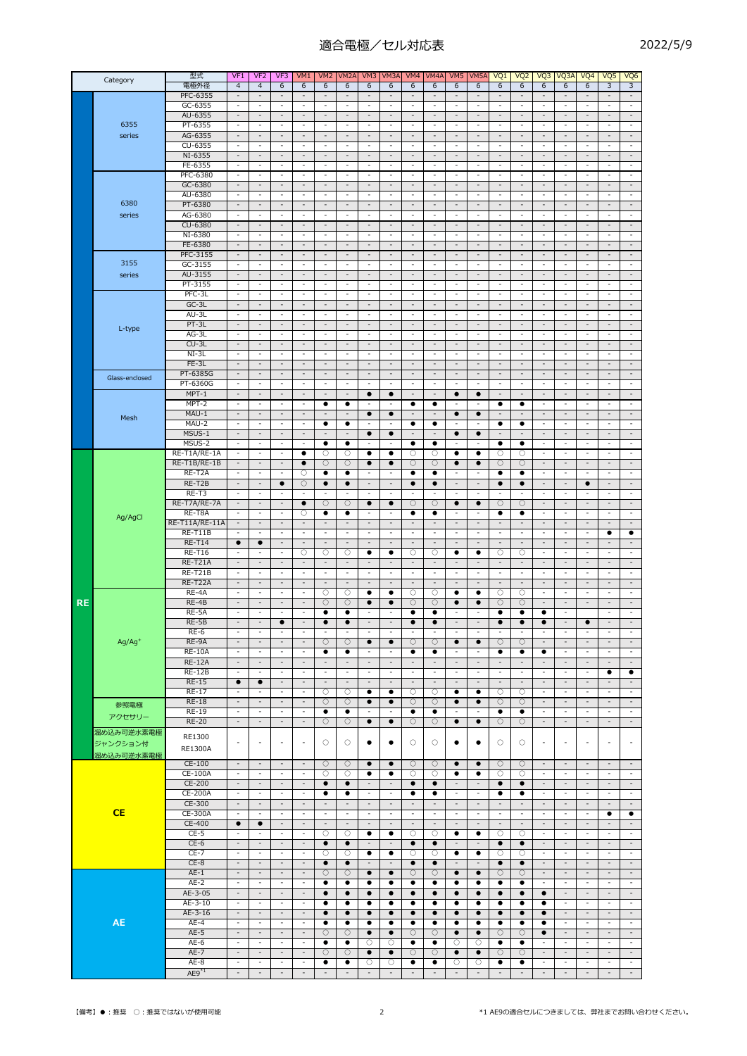## 適合電極/セル対応表

| ア<br>$\overline{\phantom{a}}$ | ┍ |
|-------------------------------|---|
|-------------------------------|---|

| Category  |                | 型式                             | VF <sub>1</sub>                                      | VF <sub>2</sub>                                      | VF3                                                  | VM1                                                  | VM <sub>2</sub>                                      | VM <sub>2</sub> A                                    | VM3                                                      | VM3A                                                 | VM4                                                  | VM4A                                                 | VM <sub>5</sub>                                      | VM <sub>5</sub> A                                    | VQ1                                                  | VQ <sub>2</sub>                                          | VQ3                                                  | VQ3A                                                 | VQ4                                                  | VQ5                                                  | VQ <sub>6</sub>                                      |
|-----------|----------------|--------------------------------|------------------------------------------------------|------------------------------------------------------|------------------------------------------------------|------------------------------------------------------|------------------------------------------------------|------------------------------------------------------|----------------------------------------------------------|------------------------------------------------------|------------------------------------------------------|------------------------------------------------------|------------------------------------------------------|------------------------------------------------------|------------------------------------------------------|----------------------------------------------------------|------------------------------------------------------|------------------------------------------------------|------------------------------------------------------|------------------------------------------------------|------------------------------------------------------|
|           |                | 電極外径                           | $\overline{4}$                                       | $\overline{4}$                                       | 6                                                    | 6                                                    | 6                                                    | 6                                                    | 6                                                        | 6                                                    | 6                                                    | 6                                                    | 6                                                    | 6                                                    | 6                                                    | 6                                                        | 6                                                    | 6                                                    | 6                                                    | 3                                                    | 3                                                    |
|           |                | PFC-6355<br>GC-6355            | $\overline{\phantom{a}}$                             | $\overline{\phantom{a}}$<br>$\overline{\phantom{a}}$ | $\overline{\phantom{a}}$<br>$\overline{\phantom{a}}$ | $\overline{\phantom{a}}$<br>$\overline{\phantom{a}}$ | $\overline{\phantom{a}}$<br>$\overline{\phantom{a}}$ | $\overline{\phantom{a}}$<br>$\overline{\phantom{a}}$ | $\qquad \qquad \blacksquare$<br>$\overline{\phantom{a}}$ | ٠<br>$\overline{\phantom{a}}$                        | $\overline{\phantom{a}}$<br>$\overline{\phantom{a}}$ | $\overline{\phantom{a}}$<br>$\overline{\phantom{a}}$ | $\overline{\phantom{a}}$<br>$\overline{\phantom{a}}$ | $\overline{\phantom{a}}$<br>$\overline{\phantom{a}}$ | $\overline{\phantom{a}}$<br>$\overline{\phantom{a}}$ | $\qquad \qquad \blacksquare$<br>$\overline{\phantom{a}}$ | $\overline{\phantom{a}}$<br>$\overline{\phantom{a}}$ | $\overline{a}$<br>$\overline{\phantom{a}}$           | $\overline{\phantom{a}}$<br>$\overline{\phantom{a}}$ | $\overline{\phantom{a}}$<br>$\overline{\phantom{a}}$ | $\overline{\phantom{a}}$<br>$\overline{\phantom{a}}$ |
|           |                | AU-6355                        | $\sim$                                               | $\sim$                                               | $\sim$                                               | $\sim$                                               | $\sim$                                               | $\sim$                                               | $\overline{\phantom{a}}$                                 | $\sim$                                               | $\overline{\phantom{a}}$                             | $\sim$                                               | $\sim$                                               | $\overline{\phantom{a}}$                             | $\sim$                                               | $\sim$                                                   | $\sim$                                               | $\overline{\phantom{a}}$                             | $\sim$                                               | $\sim$                                               | $\sim$                                               |
|           | 6355           | PT-6355                        | $\overline{\phantom{a}}$                             | $\overline{\phantom{a}}$                             | $\overline{a}$                                       | $\overline{\phantom{a}}$                             | $\overline{a}$                                       | $\overline{\phantom{m}}$                             | $\overline{a}$                                           | $\overline{a}$                                       | $\overline{a}$                                       | $\overline{a}$                                       | $\overline{\phantom{a}}$                             | $\overline{\phantom{a}}$                             | $\overline{\phantom{a}}$                             | $\overline{a}$                                           | $\overline{a}$                                       | $\overline{\phantom{a}}$                             | $\overline{a}$                                       | $\overline{\phantom{m}}$                             | $\overline{\phantom{a}}$                             |
|           | series         | AG-6355                        | $\overline{\phantom{a}}$                             | $\overline{\phantom{a}}$                             | $\overline{\phantom{a}}$                             | $\overline{\phantom{a}}$                             | $\overline{\phantom{a}}$                             | $\overline{\phantom{a}}$                             | $\overline{\phantom{a}}$                                 | $\overline{a}$                                       | $\overline{\phantom{a}}$                             | $\overline{\phantom{a}}$                             | $\overline{\phantom{a}}$                             | $\overline{\phantom{a}}$                             | $\overline{\phantom{a}}$                             | $\overline{\phantom{a}}$                                 | $\overline{\phantom{a}}$                             | $\overline{\phantom{a}}$                             | $\overline{\phantom{a}}$                             | $\overline{\phantom{a}}$                             | $\overline{\phantom{a}}$                             |
|           |                | CU-6355                        | $\overline{\phantom{a}}$                             | $\sim$                                               | $\overline{\phantom{a}}$                             | $\overline{\phantom{a}}$                             | $\overline{\phantom{a}}$                             | $\overline{\phantom{a}}$                             | $\overline{\phantom{a}}$                                 | $\overline{\phantom{a}}$                             | $\overline{\phantom{a}}$                             | $\overline{\phantom{a}}$                             | $\overline{\phantom{a}}$                             | $\sim$                                               | $\overline{\phantom{a}}$                             | $\overline{\phantom{a}}$                                 | $\overline{\phantom{a}}$                             | $\overline{\phantom{a}}$                             | $\overline{\phantom{a}}$                             | $\overline{\phantom{a}}$                             | $\overline{\phantom{a}}$                             |
|           |                | NI-6355<br>FE-6355             | $\sim$<br>$\overline{a}$                             | $\overline{\phantom{a}}$<br>$\overline{\phantom{a}}$ | $\overline{\phantom{a}}$<br>$\overline{\phantom{a}}$ | $\overline{\phantom{a}}$<br>$\overline{\phantom{a}}$ | $\overline{\phantom{a}}$<br>$\sim$                   | $\overline{\phantom{a}}$<br>$\overline{\phantom{a}}$ | $\overline{\phantom{a}}$<br>$\overline{\phantom{a}}$     | $\overline{\phantom{a}}$<br>$\overline{a}$           | $\overline{\phantom{a}}$<br>$\ddot{\phantom{1}}$     | $\overline{\phantom{a}}$<br>$\overline{\phantom{a}}$ | $\overline{\phantom{a}}$<br>$\overline{\phantom{a}}$ | $\overline{\phantom{a}}$<br>$\overline{\phantom{a}}$ | $\overline{\phantom{a}}$<br>$\overline{\phantom{a}}$ | $\overline{\phantom{a}}$<br>$\overline{a}$               | $\sim$<br>$\overline{a}$                             | $\overline{\phantom{a}}$<br>$\sim$                   | $\overline{\phantom{a}}$<br>÷                        | $\overline{\phantom{a}}$<br>$\sim$                   | $\overline{\phantom{a}}$<br>$\overline{\phantom{a}}$ |
|           |                | PFC-6380                       | $\overline{\phantom{a}}$                             | $\overline{\phantom{a}}$                             | $\overline{\phantom{a}}$                             | $\overline{\phantom{a}}$                             | $\overline{\phantom{a}}$                             | $\overline{\phantom{a}}$                             | $\overline{\phantom{a}}$                                 | $\overline{\phantom{a}}$                             | $\overline{\phantom{a}}$                             | $\overline{\phantom{a}}$                             | $\overline{\phantom{a}}$                             | $\overline{\phantom{a}}$                             | $\overline{\phantom{a}}$                             | $\overline{\phantom{a}}$                                 | $\overline{\phantom{a}}$                             | $\overline{\phantom{a}}$                             | $\overline{\phantom{a}}$                             | $\overline{\phantom{a}}$                             | $\overline{\phantom{a}}$                             |
|           |                | GC-6380                        | $\sim$                                               | $\sim$                                               | $\sim$                                               | $\sim$                                               | $\sim$                                               | $\overline{\phantom{a}}$                             | $\overline{\phantom{a}}$                                 | $\sim$                                               | $\overline{\phantom{a}}$                             | $\sim$                                               | $\sim$                                               | $\sim$                                               | $\sim$                                               | $\overline{\phantom{a}}$                                 | $\sim$                                               | $\sim$                                               | $\sim$                                               | $\sim$                                               | $\overline{\phantom{a}}$                             |
|           |                | AU-6380                        | $\overline{\phantom{a}}$                             | $\overline{\phantom{a}}$                             | $\overline{\phantom{a}}$                             | $\overline{\phantom{a}}$                             | $\overline{\phantom{a}}$                             | $\overline{\phantom{a}}$                             | $\overline{\phantom{a}}$                                 | $\overline{\phantom{a}}$                             | $\overline{\phantom{a}}$                             | $\overline{\phantom{a}}$                             | $\sim$                                               | $\blacksquare$                                       | $\blacksquare$                                       | $\overline{\phantom{a}}$                                 | $\overline{\phantom{a}}$                             | $\overline{\phantom{a}}$                             | $\overline{\phantom{a}}$                             | $\overline{\phantom{a}}$                             | $\overline{\phantom{a}}$                             |
|           | 6380           | PT-6380                        | $\overline{\phantom{a}}$                             | $\overline{\phantom{a}}$                             | $\overline{\phantom{a}}$                             | $\overline{\phantom{a}}$                             | $\overline{\phantom{a}}$                             | $\overline{\phantom{a}}$                             | $\blacksquare$                                           | $\overline{\phantom{a}}$                             | $\overline{\phantom{a}}$                             | $\overline{\phantom{a}}$                             | $\overline{\phantom{a}}$                             | $\overline{\phantom{a}}$                             | $\overline{\phantom{a}}$                             | $\overline{\phantom{a}}$                                 | $\overline{\phantom{a}}$                             | $\overline{\phantom{a}}$                             | $\overline{\phantom{a}}$                             | $\overline{\phantom{a}}$                             | $\blacksquare$                                       |
|           | series         | AG-6380                        | $\sim$                                               | $\sim$                                               | $\overline{\phantom{a}}$                             | $\sim$                                               | $\sim$                                               | $\overline{\phantom{a}}$                             | $\overline{a}$                                           | $\overline{a}$                                       | $\overline{a}$                                       | $\sim$                                               | $\sim$                                               | $\overline{\phantom{a}}$                             | $\sim$                                               | $\overline{a}$                                           | ÷                                                    | $\sim$                                               | $\overline{\phantom{a}}$                             | $\sim$                                               | $\overline{\phantom{a}}$                             |
|           |                | CU-6380<br>NI-6380             | $\sim$<br>$\overline{\phantom{a}}$                   | $\sim$<br>$\overline{\phantom{a}}$                   | $\sim$<br>$\overline{\phantom{a}}$                   | $\overline{\phantom{a}}$<br>$\overline{\phantom{a}}$ | $\overline{\phantom{a}}$<br>$\overline{\phantom{a}}$ | $\sim$<br>$\overline{\phantom{a}}$                   | $\overline{\phantom{a}}$<br>$\overline{\phantom{a}}$     | $\sim$<br>$\overline{\phantom{a}}$                   | $\overline{\phantom{a}}$<br>$\overline{\phantom{a}}$ | $\overline{\phantom{a}}$<br>$\overline{\phantom{a}}$ | $\overline{\phantom{a}}$<br>$\overline{\phantom{a}}$ | $\overline{\phantom{a}}$<br>$\overline{\phantom{a}}$ | $\overline{\phantom{a}}$<br>$\overline{\phantom{a}}$ | $\sim$<br>$\overline{\phantom{a}}$                       | $\sim$<br>$\overline{a}$                             | $\overline{\phantom{a}}$<br>$\overline{\phantom{a}}$ | $\overline{\phantom{a}}$<br>$\overline{\phantom{a}}$ | $\overline{\phantom{a}}$<br>$\overline{\phantom{a}}$ | $\overline{\phantom{a}}$<br>$\overline{\phantom{a}}$ |
|           |                | FE-6380                        | $\overline{a}$                                       | $\overline{\phantom{a}}$                             | $\overline{\phantom{a}}$                             | $\overline{\phantom{a}}$                             | $\overline{\phantom{a}}$                             | $\overline{\phantom{a}}$                             | $\overline{\phantom{a}}$                                 | $\overline{a}$                                       | $\overline{\phantom{a}}$                             | $\overline{\phantom{a}}$                             | $\overline{\phantom{a}}$                             | $\overline{\phantom{a}}$                             | $\overline{\phantom{a}}$                             | $\overline{\phantom{a}}$                                 | $\overline{a}$                                       | $\overline{\phantom{a}}$                             | $\overline{\phantom{a}}$                             | $\overline{\phantom{a}}$                             | $\overline{\phantom{a}}$                             |
|           |                | PFC-3155                       | $\sim$                                               | $\overline{\phantom{a}}$                             | $\overline{\phantom{a}}$                             | $\overline{\phantom{a}}$                             | $\sim$                                               | $\sim$                                               | $\overline{\phantom{a}}$                                 | $\overline{\phantom{a}}$                             | $\overline{\phantom{a}}$                             | $\overline{\phantom{a}}$                             | $\sim$                                               | $\sim$                                               | $\sim$                                               | $\overline{\phantom{a}}$                                 | $\overline{\phantom{a}}$                             | $\overline{\phantom{a}}$                             | $\overline{\phantom{a}}$                             | $\overline{\phantom{a}}$                             | $\overline{\phantom{a}}$                             |
|           | 3155           | GC-3155                        | $\overline{\phantom{a}}$                             | $\overline{\phantom{a}}$                             | $\overline{a}$                                       | $\overline{\phantom{m}}$                             | $\overline{\phantom{a}}$                             | $\overline{\phantom{a}}$                             | $\overline{\phantom{a}}$                                 | $\qquad \qquad \blacksquare$                         | $\overline{a}$                                       | $\overline{a}$                                       | $\overline{\phantom{a}}$                             | $\overline{\phantom{a}}$                             | $\overline{\phantom{a}}$                             | $\overline{\phantom{a}}$                                 | $\overline{a}$                                       | $\overline{\phantom{m}}$                             | $\overline{a}$                                       | $\overline{\phantom{a}}$                             | $\overline{\phantom{a}}$                             |
|           | series         | AU-3155                        | $\sim$                                               | $\sim$                                               | $\overline{\phantom{a}}$                             | $\overline{\phantom{a}}$                             | $\overline{\phantom{a}}$                             | $\overline{\phantom{a}}$                             | $\overline{\phantom{a}}$                                 | $\overline{\phantom{a}}$                             | $\overline{\phantom{a}}$                             | $\overline{\phantom{a}}$                             | $\overline{\phantom{a}}$                             | $\overline{\phantom{a}}$                             | $\overline{\phantom{a}}$                             | $\overline{\phantom{a}}$                                 | $\sim$                                               | $\overline{\phantom{a}}$                             | $\overline{\phantom{a}}$                             | $\overline{\phantom{a}}$                             | $\overline{\phantom{a}}$                             |
|           |                | PT-3155                        | $\overline{\phantom{a}}$                             | $\overline{\phantom{a}}$                             | $\overline{\phantom{a}}$                             | $\overline{\phantom{a}}$                             | $\overline{\phantom{a}}$                             | $\overline{\phantom{a}}$                             | $\overline{\phantom{a}}$                                 | $\overline{\phantom{a}}$                             | $\overline{\phantom{a}}$                             | $\overline{\phantom{a}}$                             | $\overline{\phantom{a}}$                             | $\overline{\phantom{a}}$                             | $\overline{\phantom{a}}$                             | $\overline{\phantom{a}}$                                 | $\overline{\phantom{a}}$                             | $\overline{\phantom{a}}$                             | $\overline{\phantom{a}}$                             | $\overline{\phantom{a}}$                             | $\blacksquare$                                       |
|           |                | PFC-3L                         | $\overline{\phantom{a}}$                             | $\overline{\phantom{a}}$                             | $\overline{\phantom{a}}$                             | $\overline{\phantom{a}}$                             | $\overline{\phantom{a}}$                             | $\overline{\phantom{a}}$                             | $\overline{\phantom{a}}$                                 | $\overline{\phantom{a}}$                             | $\overline{\phantom{a}}$                             | $\overline{\phantom{a}}$                             | $\overline{\phantom{a}}$                             | $\blacksquare$                                       | $\overline{\phantom{a}}$                             | $\overline{\phantom{a}}$                                 | $\overline{\phantom{a}}$                             | $\overline{\phantom{a}}$                             | $\overline{\phantom{a}}$                             | $\overline{\phantom{a}}$                             | $\overline{\phantom{a}}$                             |
|           |                | $GC-3L$                        | $\sim$                                               | $\sim$                                               | $\overline{\phantom{a}}$                             | $\overline{\phantom{a}}$                             | $\sim$                                               | $\overline{\phantom{a}}$                             | $\overline{\phantom{a}}$                                 | $\sim$                                               | $\overline{\phantom{a}}$                             | $\sim$                                               | $\overline{\phantom{a}}$                             | $\overline{\phantom{a}}$                             | $\overline{\phantom{a}}$                             | $\overline{\phantom{a}}$                                 | $\sim$                                               | $\overline{\phantom{a}}$                             | $\sim$                                               | $\sim$                                               | $\overline{\phantom{a}}$                             |
|           |                | AU-3L<br>$PT-3L$               | $\overline{\phantom{a}}$<br>$\sim$                   | $\overline{\phantom{a}}$<br>$\overline{\phantom{a}}$ | $\overline{\phantom{a}}$<br>$\sim$                   | $\overline{\phantom{a}}$<br>$\overline{\phantom{a}}$ | $\overline{\phantom{a}}$<br>$\sim$                   | $\overline{\phantom{a}}$<br>$\overline{\phantom{a}}$ | $\overline{\phantom{a}}$<br>$\overline{\phantom{a}}$     | $\overline{\phantom{a}}$<br>$\sim$                   | $\overline{\phantom{a}}$<br>$\overline{\phantom{a}}$ | $\overline{\phantom{a}}$<br>$\sim$                   | $\overline{\phantom{a}}$<br>$\sim$                   | $\overline{\phantom{a}}$<br>$\overline{\phantom{a}}$ | $\overline{\phantom{a}}$<br>$\overline{\phantom{a}}$ | $\overline{\phantom{a}}$<br>$\overline{\phantom{a}}$     | $\overline{\phantom{a}}$<br>$\overline{a}$           | $\overline{\phantom{a}}$<br>$\overline{\phantom{a}}$ | $\overline{\phantom{a}}$<br>$\sim$                   | $\overline{\phantom{a}}$<br>$\sim$                   | $\overline{\phantom{a}}$<br>$\overline{\phantom{a}}$ |
|           | L-type         | $AG-3L$                        | $\overline{\phantom{a}}$                             | $\overline{\phantom{a}}$                             | $\overline{\phantom{a}}$                             | $\overline{\phantom{a}}$                             | $\overline{\phantom{a}}$                             | $\overline{\phantom{a}}$                             | $\overline{\phantom{a}}$                                 | $\overline{\phantom{a}}$                             | $\overline{\phantom{a}}$                             | $\overline{\phantom{a}}$                             | $\overline{\phantom{a}}$                             | $\blacksquare$                                       | $\blacksquare$                                       | $\overline{\phantom{a}}$                                 | $\overline{\phantom{a}}$                             | $\overline{\phantom{a}}$                             | $\overline{\phantom{a}}$                             | $\overline{\phantom{a}}$                             | $\blacksquare$                                       |
|           |                | $CU-3L$                        | $\overline{\phantom{a}}$                             | $\overline{\phantom{a}}$                             | $\overline{\phantom{a}}$                             | $\overline{\phantom{a}}$                             | $\overline{\phantom{a}}$                             | $\overline{\phantom{a}}$                             | $\overline{\phantom{a}}$                                 | $\overline{\phantom{a}}$                             | $\overline{\phantom{a}}$                             | $\overline{\phantom{a}}$                             | $\overline{\phantom{a}}$                             | $\overline{\phantom{a}}$                             | $\overline{\phantom{a}}$                             | $\overline{\phantom{a}}$                                 | $\overline{\phantom{a}}$                             | $\overline{\phantom{a}}$                             | $\overline{\phantom{a}}$                             | $\overline{\phantom{a}}$                             | $\overline{\phantom{a}}$                             |
|           |                | $NI-3L$                        | $\overline{\phantom{a}}$                             | $\sim$                                               | $\overline{\phantom{a}}$                             | $\sim$                                               | $\sim$                                               | $\overline{\phantom{a}}$                             | $\overline{\phantom{a}}$                                 | $\overline{\phantom{a}}$                             | $\ddot{\phantom{1}}$                                 | $\sim$                                               | $\sim$                                               | $\overline{\phantom{a}}$                             | $\overline{\phantom{a}}$                             | $\ddot{\phantom{1}}$                                     | $\overline{\phantom{a}}$                             | $\sim$                                               | $\sim$                                               | $\sim$                                               | $\overline{\phantom{a}}$                             |
|           |                | FE-3L                          | $\sim$                                               | $\overline{\phantom{a}}$                             | $\sim$                                               | $\sim$                                               | $\overline{\phantom{a}}$                             | $\sim$                                               | $\overline{\phantom{a}}$                                 | $\sim$                                               | $\overline{\phantom{a}}$                             | $\overline{\phantom{a}}$                             | $\sim$                                               | $\sim$                                               | $\sim$                                               | $\sim$                                                   | $\sim$                                               | $\overline{\phantom{a}}$                             | $\sim$                                               | $\overline{\phantom{a}}$                             | $\sim$                                               |
|           | Glass-enclosed | PT-6385G                       | $\overline{\phantom{a}}$                             | $\overline{\phantom{a}}$                             | $\overline{\phantom{a}}$                             | $\overline{\phantom{a}}$                             | $\overline{\phantom{a}}$                             | $\overline{\phantom{a}}$                             | $\overline{\phantom{a}}$                                 | $\overline{\phantom{a}}$                             | $\qquad \qquad \blacksquare$                         | $\overline{\phantom{a}}$                             | $\overline{\phantom{a}}$                             | $\overline{\phantom{a}}$                             | $\overline{\phantom{a}}$                             | $\overline{\phantom{a}}$                                 | $\overline{\phantom{a}}$                             | $\overline{\phantom{a}}$                             | $\overline{\phantom{a}}$                             | $\overline{\phantom{a}}$                             | $\overline{\phantom{a}}$                             |
|           |                | PT-6360G                       | $\overline{a}$                                       | $\overline{a}$                                       | ÷,                                                   | $\overline{a}$                                       | $\overline{\phantom{a}}$                             | $\overline{\phantom{a}}$                             | $\overline{a}$                                           | ÷,                                                   | $\overline{a}$                                       | $\overline{a}$                                       | $\overline{a}$                                       | $\overline{\phantom{a}}$                             | $\overline{\phantom{a}}$                             | $\overline{a}$                                           | $\overline{a}$                                       | $\overline{a}$                                       | $\overline{a}$                                       | $\sim$                                               | $\overline{\phantom{a}}$                             |
|           |                | $MPT-1$<br>MPT-2               | $\sim$<br>$\overline{\phantom{a}}$                   | $\sim$<br>$\overline{\phantom{a}}$                   | $\overline{\phantom{a}}$<br>$\overline{a}$           | $\overline{\phantom{a}}$<br>$\overline{\phantom{a}}$ | $\sim$<br>٠                                          | $\sim$<br>$\bullet$                                  | $\bullet$<br>$\overline{a}$                              | $\bullet$<br>-                                       | $\overline{\phantom{a}}$<br>$\bullet$                | $\overline{\phantom{a}}$<br>$\bullet$                | $\bullet$                                            | $\bullet$                                            | $\sim$<br>٠                                          | $\overline{\phantom{a}}$<br>$\bullet$                    | $\overline{\phantom{a}}$<br>$\overline{a}$           | $\overline{\phantom{a}}$<br>$\overline{a}$           | $\sim$<br>$\overline{a}$                             | $\sim$<br>$\overline{a}$                             | $\sim$<br>$\overline{\phantom{a}}$                   |
|           |                | MAU-1                          | $\overline{\phantom{a}}$                             | $\overline{\phantom{a}}$                             | $\overline{\phantom{a}}$                             | $\overline{\phantom{a}}$                             | $\overline{\phantom{a}}$                             | $\overline{\phantom{a}}$                             | $\bullet$                                                | $\bullet$                                            | $\overline{\phantom{a}}$                             | ÷,                                                   | $\bullet$                                            | $\bullet$                                            | $\blacksquare$                                       | $\overline{\phantom{a}}$                                 | $\overline{\phantom{a}}$                             | $\overline{\phantom{a}}$                             | $\overline{\phantom{a}}$                             | $\overline{\phantom{a}}$                             | $\overline{\phantom{a}}$                             |
|           | Mesh           | MAU-2                          | $\overline{\phantom{a}}$                             | $\overline{\phantom{a}}$                             | $\overline{\phantom{a}}$                             | $\overline{\phantom{a}}$                             | ٠                                                    | ٠                                                    | $\overline{\phantom{a}}$                                 | $\overline{\phantom{a}}$                             | ٠                                                    | ٠                                                    | $\overline{\phantom{a}}$                             | $\overline{\phantom{a}}$                             | ٠                                                    | $\bullet$                                                | $\overline{\phantom{a}}$                             | $\overline{\phantom{a}}$                             | $\overline{\phantom{a}}$                             | $\overline{\phantom{a}}$                             | ÷                                                    |
|           |                | MSUS-1                         | $\sim$                                               | $\overline{\phantom{a}}$                             | $\overline{\phantom{a}}$                             | $\overline{\phantom{a}}$                             | $\sim$                                               | $\overline{a}$                                       | $\bullet$                                                | $\bullet$                                            | $\overline{\phantom{m}}$                             | $\overline{\phantom{a}}$                             | $\bullet$                                            | $\bullet$                                            | $\overline{\phantom{a}}$                             | $\overline{\phantom{a}}$                                 | $\sim$                                               | $\overline{\phantom{a}}$                             | $\overline{\phantom{a}}$                             | $\overline{\phantom{a}}$                             | $\overline{\phantom{a}}$                             |
|           |                | MSUS-2                         | $\sim$                                               | $\sim$                                               | $\overline{\phantom{a}}$                             | $\sim$                                               | $\bullet$                                            | $\bullet$                                            | $\overline{\phantom{a}}$                                 | ÷,                                                   | $\bullet$                                            | $\bullet$                                            | $\overline{\phantom{a}}$                             | $\overline{\phantom{a}}$                             | $\bullet$                                            | $\bullet$                                                | $\overline{a}$                                       | $\sim$                                               | $\overline{a}$                                       | $\sim$                                               | $\overline{\phantom{a}}$                             |
|           |                | RE-T1A/RE-1A                   | $\overline{\phantom{a}}$                             | $\sim$                                               | $\overline{\phantom{a}}$                             | ٠                                                    | О                                                    | О                                                    | ٠                                                        | ٠                                                    | О                                                    | О                                                    | ٠                                                    | ٠                                                    | О                                                    | О                                                        | $\overline{\phantom{a}}$                             | $\overline{\phantom{a}}$                             | $\overline{\phantom{a}}$                             | $\overline{\phantom{a}}$                             | $\overline{\phantom{a}}$                             |
|           |                | RE-T1B/RE-1B<br>RE-T2A         | $\sim$<br>$\overline{\phantom{a}}$                   | $\sim$<br>$\overline{\phantom{a}}$                   | $\overline{\phantom{a}}$<br>$\overline{\phantom{a}}$ | $\bullet$<br>О                                       | $\circ$<br>٠                                         | $\bigcirc$<br>٠                                      | $\bullet$<br>$\overline{\phantom{a}}$                    | $\bullet$<br>$\overline{\phantom{a}}$                | $\circ$<br>$\bullet$                                 | $\circ$<br>$\bullet$                                 | $\bullet$<br>$\overline{\phantom{a}}$                | $\bullet$<br>$\overline{\phantom{a}}$                | $\circ$<br>٠                                         | $\bigcirc$<br>$\bullet$                                  | $\overline{\phantom{a}}$<br>$\overline{\phantom{a}}$ | $\overline{\phantom{a}}$<br>$\overline{\phantom{a}}$ | $\sim$<br>$\overline{\phantom{a}}$                   | $\sim$<br>$\overline{\phantom{a}}$                   | $\overline{\phantom{a}}$<br>$\overline{\phantom{a}}$ |
|           | Ag/AgCl        | RE-T2B                         | $\overline{\phantom{a}}$                             | $\overline{\phantom{a}}$                             | $\bullet$                                            | $\circ$                                              | $\bullet$                                            | $\bullet$                                            | $\overline{\phantom{a}}$                                 | $\overline{\phantom{a}}$                             | $\bullet$                                            | $\bullet$                                            | $\overline{\phantom{a}}$                             | $\blacksquare$                                       | $\bullet$                                            | $\bullet$                                                | $\overline{\phantom{a}}$                             | $\overline{\phantom{a}}$                             | $\bullet$                                            | $\overline{\phantom{a}}$                             | $\overline{\phantom{a}}$                             |
|           |                | RE-T3                          | $\sim$                                               | $\overline{\phantom{a}}$                             | ÷                                                    | $\overline{a}$                                       | Ĭ.                                                   | $\overline{a}$                                       | $\overline{a}$                                           | Ĭ.                                                   | L,                                                   |                                                      | $\overline{\phantom{a}}$                             | $\overline{\phantom{a}}$                             |                                                      | L,                                                       | $\overline{\phantom{a}}$                             | $\overline{\phantom{a}}$                             | ÷                                                    | $\overline{\phantom{a}}$                             | $\overline{\phantom{a}}$                             |
|           |                | RE-T7A/RE-7A                   | $\sim$                                               | $\sim$                                               | $\sim$                                               | $\bullet$                                            | $\circ$                                              | $\circ$                                              | $\bullet$                                                | $\bullet$                                            | $\circ$                                              | О                                                    | $\bullet$                                            | $\bullet$                                            | O                                                    | $\circ$                                                  | $\sim$                                               | $\sim$                                               | $\sim$                                               | $\sim$                                               | $\sim$                                               |
|           |                | RE-T8A                         | $\overline{\phantom{a}}$                             | $\overline{\phantom{a}}$                             | $\overline{\phantom{a}}$                             | О                                                    | $\bullet$                                            | $\bullet$                                            | $\overline{\phantom{a}}$                                 | $\overline{\phantom{a}}$                             | ٠                                                    | $\bullet$                                            | $\overline{\phantom{a}}$                             | $\overline{\phantom{a}}$                             | ٠                                                    | $\bullet$                                                | $\overline{\phantom{a}}$                             | $\overline{\phantom{a}}$                             | $\overline{\phantom{a}}$                             | $\overline{\phantom{a}}$                             | $\overline{\phantom{a}}$                             |
|           |                | RE-T11A/RE-11A                 | $\overline{\phantom{a}}$                             | $\overline{\phantom{a}}$                             | $\sim$                                               | $\overline{\phantom{a}}$                             | $\overline{\phantom{a}}$                             | $\overline{\phantom{a}}$                             | $\overline{\phantom{a}}$                                 | $\overline{\phantom{a}}$                             | $\overline{\phantom{a}}$                             | ÷,                                                   | $\overline{\phantom{a}}$                             | $\overline{\phantom{a}}$                             | $\overline{\phantom{a}}$                             | $\overline{\phantom{a}}$                                 | $\overline{\phantom{a}}$                             | $\overline{\phantom{a}}$                             | $\overline{\phantom{a}}$                             | $\overline{\phantom{a}}$                             | $\overline{\phantom{a}}$                             |
|           |                | <b>RE-T11B</b>                 | $\overline{\phantom{a}}$                             | $\overline{\phantom{a}}$                             | $\overline{\phantom{a}}$                             | $\overline{\phantom{a}}$                             | $\overline{\phantom{a}}$                             | $\overline{\phantom{a}}$<br>$\overline{\phantom{a}}$ | $\overline{\phantom{a}}$                                 | $\overline{\phantom{a}}$<br>$\overline{\phantom{a}}$ | $\overline{\phantom{a}}$                             | $\overline{\phantom{a}}$                             | $\overline{\phantom{a}}$<br>$\overline{\phantom{a}}$ | $\overline{\phantom{a}}$                             | $\overline{\phantom{a}}$                             | $\overline{\phantom{a}}$                                 | $\overline{\phantom{a}}$                             | $\overline{\phantom{a}}$                             | $\overline{\phantom{a}}$                             | ٠                                                    | ٠                                                    |
|           |                | <b>RE-T14</b><br><b>RE-T16</b> | $\bullet$                                            | $\bullet$<br>$\overline{a}$                          | $\overline{\phantom{a}}$<br>$\overline{\phantom{a}}$ | $\overline{\phantom{a}}$<br>$\bigcirc$               | $\overline{\phantom{a}}$<br>О                        | O                                                    | $\overline{\phantom{a}}$<br>$\bullet$                    | $\bullet$                                            | $\overline{\phantom{a}}$<br>O                        | $\overline{\phantom{a}}$<br>О                        | $\bullet$                                            | $\overline{\phantom{a}}$<br>$\bullet$                | $\overline{\phantom{a}}$<br>O                        | $\overline{\phantom{a}}$<br>O                            | $\overline{\phantom{a}}$<br>$\overline{\phantom{a}}$ | $\overline{\phantom{a}}$<br>$\sim$                   | $\overline{\phantom{a}}$<br>$\overline{\phantom{a}}$ | $\overline{\phantom{a}}$<br>$\sim$                   | $\overline{\phantom{a}}$<br>$\overline{\phantom{a}}$ |
|           |                | RE-T21A                        | $\overline{\phantom{a}}$                             | $\overline{\phantom{a}}$                             | $\overline{\phantom{a}}$                             | $\overline{\phantom{a}}$                             | $\overline{\phantom{a}}$                             | $\overline{\phantom{a}}$                             | $\overline{\phantom{a}}$                                 | $\overline{\phantom{a}}$                             | $\overline{\phantom{a}}$                             | $\overline{\phantom{a}}$                             | $\overline{\phantom{a}}$                             | $\overline{\phantom{a}}$                             | $\overline{\phantom{a}}$                             | $\overline{\phantom{a}}$                                 | $\overline{\phantom{a}}$                             | $\overline{\phantom{a}}$                             | $\overline{\phantom{a}}$                             | $\overline{\phantom{a}}$                             | $\overline{\phantom{a}}$                             |
|           |                | <b>RE-T21B</b>                 | $\overline{\phantom{a}}$                             | $\overline{\phantom{a}}$                             | $\overline{\phantom{a}}$                             | $\overline{\phantom{a}}$                             | $\overline{\phantom{a}}$                             | $\overline{\phantom{a}}$                             | $\overline{\phantom{a}}$                                 | $\overline{a}$                                       | $\overline{a}$                                       | $\overline{\phantom{a}}$                             | $\sim$                                               | $\overline{\phantom{a}}$                             | $\overline{\phantom{a}}$                             | $\overline{a}$                                           | $\overline{a}$                                       | $\overline{\phantom{a}}$                             | $\overline{\phantom{a}}$                             | $\overline{\phantom{a}}$                             | $\overline{\phantom{a}}$                             |
|           |                | RE-T22A                        | $\overline{\phantom{a}}$                             | $\overline{\phantom{a}}$                             | $\sim$                                               | $\overline{\phantom{a}}$                             | $\sim$                                               | $\overline{\phantom{a}}$                             | $\overline{\phantom{a}}$                                 | $\overline{\phantom{a}}$                             | $\overline{\phantom{a}}$                             | $\overline{\phantom{a}}$                             | $\sim$                                               | $\sim$                                               | $\blacksquare$                                       | $\overline{\phantom{a}}$                                 | $\sim$                                               | $\sim$                                               | $\overline{\phantom{a}}$                             | $\overline{\phantom{a}}$                             | $\overline{\phantom{a}}$                             |
|           |                | RE-4A                          | $\overline{\phantom{a}}$                             | $\overline{\phantom{a}}$                             | $\overline{\phantom{a}}$                             | $\overline{\phantom{a}}$                             | O                                                    | О                                                    | ٠                                                        | ٠                                                    | О                                                    | O                                                    | ٠                                                    | ٠                                                    | О                                                    | О                                                        | $\overline{\phantom{a}}$                             | $\overline{\phantom{a}}$                             | $\overline{\phantom{a}}$                             | $\overline{\phantom{a}}$                             | $\overline{\phantom{a}}$                             |
| <b>RE</b> |                | $RE-4B$                        | $\sim$                                               | $\sim$                                               | $\overline{a}$                                       | $\overline{\phantom{a}}$                             | $\circ$                                              | $\bigcirc$                                           | $\bullet$<br>$\overline{\phantom{a}}$                    | $\bullet$                                            | О                                                    | О                                                    | $\bullet$                                            | $\bullet$                                            | $\circ$                                              | $\bigcirc$                                               | $\overline{\phantom{a}}$                             | $\overline{\phantom{a}}$                             | $\overline{\phantom{a}}$                             | $\overline{\phantom{a}}$                             | $\overline{\phantom{a}}$                             |
|           |                | <b>RE-5A</b><br>RE-5B          | $\overline{\phantom{a}}$<br>$\overline{\phantom{a}}$ | $\overline{\phantom{a}}$<br>$\overline{\phantom{a}}$ | $\overline{\phantom{a}}$<br>$\bullet$                | $\overline{\phantom{a}}$<br>$\overline{\phantom{a}}$ | $\bullet$<br>$\bullet$                               | ٠<br>$\bullet$                                       | $\overline{\phantom{m}}$                                 | $\blacksquare$<br>$\overline{\phantom{a}}$           | $\bullet$<br>$\bullet$                               | $\bullet$<br>$\bullet$                               | $\overline{\phantom{a}}$<br>$\overline{\phantom{a}}$ | $\overline{\phantom{a}}$<br>$\overline{\phantom{a}}$ | ٠<br>$\bullet$                                       | ٠<br>$\bullet$                                           | ٠<br>$\bullet$                                       | $\overline{\phantom{a}}$<br>$\overline{\phantom{a}}$ | $\bullet$                                            | $\overline{\phantom{a}}$<br>$\overline{\phantom{a}}$ | $\blacksquare$<br>$\blacksquare$                     |
|           |                | RE-6                           | $\overline{\phantom{a}}$                             | $\overline{\phantom{a}}$                             | $\overline{a}$                                       | $\overline{\phantom{a}}$                             | $\overline{\phantom{a}}$                             | $\overline{\phantom{a}}$                             | $\overline{\phantom{a}}$                                 | $\overline{\phantom{a}}$                             | $\overline{\phantom{a}}$                             | $\overline{a}$                                       | $\overline{\phantom{a}}$                             | $\overline{a}$                                       | $\overline{a}$                                       | $\overline{\phantom{a}}$                                 | $\overline{\phantom{a}}$                             | $\overline{\phantom{a}}$                             | $\overline{\phantom{a}}$                             | $\overline{\phantom{a}}$                             | $\overline{\phantom{a}}$                             |
|           | $Ag/Ag+$       | RE-9A                          | $\sim$                                               | $\sim$                                               | $\sim$                                               | $\sim$                                               | $\circ$                                              | $\bigcirc$                                           | $\bullet$                                                | $\bullet$                                            | $\circ$                                              | $\circ$                                              | $\bullet$                                            | $\bullet$                                            | $\circ$                                              | $\circ$                                                  | $\sim$                                               | $\sim$                                               | $\sim$                                               | $\sim$                                               | $\sim$                                               |
|           |                | <b>RE-10A</b>                  | $\overline{\phantom{a}}$                             | $\overline{\phantom{a}}$                             | $\overline{a}$                                       | $\overline{\phantom{a}}$                             | ٠                                                    | ٠                                                    | $\overline{a}$                                           |                                                      | ٠                                                    | ٠                                                    | $\overline{a}$                                       |                                                      | ٠                                                    | ٠                                                        | ٠                                                    | $\overline{\phantom{a}}$                             | $\overline{a}$                                       | $\overline{\phantom{a}}$                             | $\overline{\phantom{a}}$                             |
|           |                | <b>RE-12A</b>                  | $\overline{\phantom{a}}$                             | $\overline{\phantom{a}}$                             | $\sim$                                               | $\overline{\phantom{a}}$                             | $\sim$                                               | $\overline{\phantom{a}}$                             | $\overline{\phantom{a}}$                                 | $\overline{\phantom{a}}$                             | $\overline{\phantom{a}}$                             | $\overline{\phantom{a}}$                             | $\overline{\phantom{a}}$                             | $\overline{\phantom{a}}$                             | $\blacksquare$                                       | $\overline{\phantom{a}}$                                 | $\overline{\phantom{a}}$                             | $\sim$                                               | $\overline{\phantom{a}}$                             | $\overline{\phantom{a}}$                             | $\overline{\phantom{a}}$                             |
|           |                | <b>RE-12B</b>                  | $\overline{\phantom{a}}$                             | $\sim$                                               | $\overline{\phantom{a}}$                             | $\overline{\phantom{a}}$                             | $\overline{\phantom{a}}$                             | $\sim$                                               | $\overline{\phantom{a}}$                                 | $\overline{\phantom{a}}$                             | $\overline{\phantom{a}}$                             | $\overline{\phantom{a}}$                             | $\sim$                                               | $\sim$                                               | $\sim$                                               | $\sim$                                                   | $\overline{\phantom{a}}$                             | $\overline{\phantom{a}}$                             | $\overline{\phantom{a}}$                             | ٠                                                    | $\bullet$                                            |
|           |                | <b>RE-15</b><br><b>RE-17</b>   | $\bullet$<br>÷                                       | $\bullet$<br>$\overline{\phantom{a}}$                | $\overline{\phantom{a}}$<br>$\overline{\phantom{a}}$ | $\overline{\phantom{a}}$<br>$\sim$                   | $\overline{\phantom{a}}$<br>О                        | $\overline{\phantom{a}}$<br>О                        | $\overline{\phantom{a}}$<br>$\bullet$                    | $\overline{\phantom{a}}$<br>$\bullet$                | $\overline{\phantom{a}}$<br>О                        | $\overline{\phantom{a}}$<br>О                        | $\overline{\phantom{a}}$<br>$\bullet$                | $\overline{\phantom{a}}$<br>٠                        | $\overline{\phantom{a}}$<br>О                        | $\overline{\phantom{a}}$<br>О                            | $\overline{\phantom{a}}$<br>$\sim$                   | $\overline{\phantom{a}}$<br>$\sim$                   | $\overline{\phantom{a}}$<br>$\sim$                   | $\overline{\phantom{a}}$<br>$\sim$                   | $\overline{\phantom{a}}$<br>$\overline{\phantom{a}}$ |
|           |                | <b>RE-18</b>                   | $\sim$                                               | $\overline{\phantom{a}}$                             | $\sim$                                               | $\overline{\phantom{a}}$                             | О                                                    | $\circ$                                              | $\bullet$                                                | $\bullet$                                            | $\circ$                                              | О                                                    | $\bullet$                                            | $\bullet$                                            | $\circ$                                              | $\circ$                                                  | $\sim$                                               | $\overline{\phantom{a}}$                             | $\overline{\phantom{a}}$                             | $\overline{\phantom{a}}$                             | $\overline{\phantom{a}}$                             |
|           | 参照電極           | <b>RE-19</b>                   | $\overline{\phantom{a}}$                             | $\overline{\phantom{a}}$                             | $\overline{\phantom{a}}$                             | $\overline{\phantom{a}}$                             | ٠                                                    | ٠                                                    | $\overline{\phantom{a}}$                                 | $\qquad \qquad \blacksquare$                         | ٠                                                    | ٠                                                    | $\overline{\phantom{a}}$                             | $\overline{\phantom{a}}$                             | ٠                                                    | ٠                                                        | $\overline{\phantom{a}}$                             | $\overline{\phantom{a}}$                             | $\overline{\phantom{a}}$                             | $\overline{\phantom{a}}$                             | $\overline{\phantom{a}}$                             |
|           | アクセサリー         | <b>RE-20</b>                   | $\sim$                                               | $\sim$                                               | $\sim$                                               | $\overline{\phantom{a}}$                             | $\circ$                                              | $\circ$                                              | $\bullet$                                                | $\bullet$                                            | О                                                    | O                                                    | $\bullet$                                            | $\bullet$                                            | 0                                                    | $\circ$                                                  | $\sim$                                               | $\overline{\phantom{a}}$                             | $\sim$                                               | $\overline{\phantom{a}}$                             | $\sim$                                               |
|           | 溜め込み可逆水素電極     | RE1300                         |                                                      |                                                      |                                                      |                                                      |                                                      |                                                      |                                                          |                                                      |                                                      |                                                      |                                                      |                                                      |                                                      |                                                          |                                                      |                                                      |                                                      |                                                      |                                                      |
|           | ジャンクション付       | <b>RE1300A</b>                 |                                                      | $\overline{\phantom{a}}$                             | $\overline{\phantom{a}}$                             | $\overline{\phantom{a}}$                             | $\circ$                                              | О                                                    | $\bullet$                                                | ٠                                                    | О                                                    | О                                                    | $\bullet$                                            | ٠                                                    | О                                                    | $\circ$                                                  | $\overline{\phantom{a}}$                             | $\overline{\phantom{a}}$                             | $\overline{\phantom{a}}$                             | $\overline{\phantom{a}}$                             | $\overline{\phantom{a}}$                             |
|           | 溜め込み可逆水素電極     |                                |                                                      |                                                      |                                                      |                                                      |                                                      |                                                      |                                                          |                                                      |                                                      |                                                      |                                                      |                                                      |                                                      |                                                          |                                                      |                                                      |                                                      |                                                      |                                                      |
|           |                | $CE-100$<br><b>CE-100A</b>     | $\sim$<br>$\sim$                                     | $\sim$                                               | $\sim$                                               | $\overline{\phantom{a}}$                             | $\circ$                                              | $\circ$                                              | $\bullet$                                                | $\bullet$                                            | $\circ$                                              | $\circ$                                              | $\bullet$                                            | $\bullet$<br>٠                                       | $\circ$                                              | $\circ$                                                  | $\sim$                                               | $\sim$                                               | $\sim$<br>$\sim$                                     | $\sim$<br>$\sim$                                     | $\overline{\phantom{a}}$<br>$\sim$                   |
|           |                | CE-200                         | $\overline{\phantom{a}}$                             | $\sim$<br>$\overline{\phantom{a}}$                   | $\sim$<br>$\overline{\phantom{a}}$                   | $\overline{\phantom{a}}$<br>$\overline{\phantom{a}}$ | О<br>$\bullet$                                       | О<br>$\bullet$                                       | ٠<br>$\overline{\phantom{a}}$                            | ٠<br>$\overline{\phantom{a}}$                        | О<br>$\bullet$                                       | О<br>$\bullet$                                       | ٠<br>$\overline{\phantom{a}}$                        | $\overline{\phantom{a}}$                             | 0<br>$\bullet$                                       | $\circ$<br>$\bullet$                                     | $\overline{\phantom{a}}$<br>$\overline{\phantom{a}}$ | $\overline{\phantom{a}}$<br>$\overline{\phantom{a}}$ | $\overline{\phantom{a}}$                             | $\blacksquare$                                       | $\overline{\phantom{a}}$                             |
|           |                | <b>CE-200A</b>                 | $\overline{\phantom{a}}$                             | $\overline{\phantom{a}}$                             | $\overline{\phantom{a}}$                             | $\overline{\phantom{a}}$                             | ٠                                                    | ٠                                                    | $\overline{\phantom{a}}$                                 | $\overline{\phantom{a}}$                             | ٠                                                    | $\bullet$                                            | $\overline{\phantom{a}}$                             | $\blacksquare$                                       | ٠                                                    | $\bullet$                                                | $\overline{\phantom{a}}$                             | $\overline{\phantom{a}}$                             | $\overline{\phantom{a}}$                             | $\overline{\phantom{a}}$                             | $\overline{\phantom{a}}$                             |
|           |                | CE-300                         | $\sim$                                               | $\sim$                                               | $\sim$                                               | $\overline{\phantom{a}}$                             | $\overline{\phantom{a}}$                             | $\overline{\phantom{a}}$                             | $\overline{\phantom{a}}$                                 | $\overline{\phantom{a}}$                             | $\overline{\phantom{a}}$                             | $\overline{\phantom{a}}$                             | $\sim$                                               | $\sim$                                               | $\overline{\phantom{a}}$                             | $\overline{\phantom{a}}$                                 | $\sim$                                               | $\overline{\phantom{a}}$                             | $\sim$                                               | $\overline{\phantom{a}}$                             | $\overline{\phantom{a}}$                             |
|           | <b>CE</b>      | CE-300A                        | $\overline{\phantom{a}}$                             | $\blacksquare$                                       | $\overline{\phantom{a}}$                             | $\overline{\phantom{a}}$                             | $\overline{\phantom{a}}$                             | $\blacksquare$                                       | $\overline{\phantom{a}}$                                 | $\overline{\phantom{a}}$                             | $\overline{\phantom{a}}$                             | $\overline{\phantom{a}}$                             | $\overline{\phantom{a}}$                             | $\overline{\phantom{a}}$                             | $\overline{\phantom{a}}$                             | $\overline{\phantom{a}}$                                 | $\overline{\phantom{a}}$                             | $\overline{\phantom{a}}$                             | $\overline{\phantom{a}}$                             | ٠                                                    | $\bullet$                                            |
|           |                | CE-400                         | $\bullet$                                            | $\bullet$                                            | $\sim$                                               | $\overline{\phantom{a}}$                             | $\overline{\phantom{a}}$                             | $\sim$                                               | $\overline{\phantom{a}}$                                 | $\sim$                                               | $\sim$                                               | $\sim$                                               | $\overline{\phantom{a}}$                             | $\overline{\phantom{a}}$                             | $\sim$                                               | $\sim$                                                   | $\sim$                                               | $\overline{\phantom{a}}$                             | $\overline{\phantom{a}}$                             | $\overline{\phantom{a}}$                             | $\overline{\phantom{a}}$                             |
|           |                | $CE-5$                         | $\overline{\phantom{a}}$<br>$\overline{\phantom{a}}$ | $\overline{\phantom{a}}$<br>$\sim$                   | $\overline{\phantom{a}}$                             | $\overline{\phantom{a}}$                             | $\circ$                                              | $\circ$                                              | ٠                                                        | ٠<br>$\overline{\phantom{a}}$                        | О                                                    | О                                                    | ٠<br>$\overline{\phantom{a}}$                        | ٠                                                    | $\circ$                                              | $\circ$                                                  | $\overline{\phantom{a}}$                             | $\overline{\phantom{a}}$<br>$\sim$                   | $\overline{\phantom{a}}$                             | $\overline{\phantom{a}}$<br>$\overline{\phantom{a}}$ | $\overline{\phantom{a}}$<br>$\overline{\phantom{a}}$ |
|           |                | $CE-6$<br>$CE-7$               | $\overline{\phantom{a}}$                             | $\blacksquare$                                       | $\overline{\phantom{a}}$<br>$\sim$                   | $\overline{\phantom{a}}$<br>$\overline{\phantom{a}}$ | $\bullet$<br>О                                       | $\bullet$<br>О                                       | $\overline{\phantom{a}}$<br>$\bullet$                    | ٠                                                    | $\bullet$<br>О                                       | $\bullet$<br>О                                       | $\bullet$                                            | $\overline{\phantom{a}}$<br>$\bullet$                | $\bullet$<br>О                                       | $\bullet$<br>О                                           | $\overline{\phantom{a}}$<br>$\overline{\phantom{a}}$ | $\overline{\phantom{a}}$                             | $\overline{\phantom{a}}$<br>$\overline{\phantom{a}}$ | $\blacksquare$                                       | $\sim$                                               |
|           |                | $CE-8$                         | $\overline{\phantom{a}}$                             | $\overline{\phantom{a}}$                             | $\overline{\phantom{a}}$                             | $\overline{\phantom{a}}$                             | $\bullet$                                            | $\bullet$                                            | $\overline{\phantom{a}}$                                 | $\overline{\phantom{a}}$                             | $\bullet$                                            | $\bullet$                                            | $\overline{\phantom{a}}$                             | $\overline{\phantom{a}}$                             | $\bullet$                                            | $\bullet$                                                | $\overline{\phantom{a}}$                             | $\overline{\phantom{a}}$                             | $\overline{\phantom{a}}$                             | $\overline{\phantom{a}}$                             | $\overline{\phantom{a}}$                             |
|           |                | $AE-1$                         | $\sim$                                               | $\overline{\phantom{a}}$                             | $\sim$                                               | $\sim$                                               | $\circ$                                              | $\circ$                                              | $\bullet$                                                | $\bullet$                                            | $\circ$                                              | $\circ$                                              | $\bullet$                                            | $\bullet$                                            | $\circ$                                              | $\bigcirc$                                               | $\overline{\phantom{a}}$                             | $\overline{\phantom{a}}$                             | $\sim$                                               | $\sim$                                               | $\overline{\phantom{a}}$                             |
|           |                | $AE-2$                         | $\overline{\phantom{a}}$                             | $\sim$                                               | $\sim$                                               | $\overline{\phantom{a}}$                             | $\bullet$                                            | $\bullet$                                            | $\bullet$                                                | $\bullet$                                            | $\bullet$                                            | $\bullet$                                            | $\bullet$                                            | $\bullet$                                            | ٠                                                    | $\bullet$                                                | $\overline{\phantom{a}}$                             | $\sim$                                               | $\overline{\phantom{a}}$                             | $\sim$                                               | $\sim$                                               |
|           |                | AE-3-05                        | $\overline{\phantom{a}}$                             | $\overline{\phantom{a}}$                             | $\overline{\phantom{a}}$                             | $\overline{\phantom{a}}$                             | $\bullet$                                            | $\bullet$                                            | $\bullet$                                                | $\bullet$                                            | $\bullet$                                            | $\bullet$                                            | $\bullet$                                            | $\bullet$                                            | $\bullet$                                            | $\bullet$                                                | $\bullet$                                            | $\overline{\phantom{a}}$                             | $\overline{\phantom{a}}$                             | $\overline{\phantom{a}}$                             | $\overline{\phantom{a}}$                             |
|           |                | AE-3-10                        | $\sim$                                               | $\sim$                                               | $\sim$                                               | $\overline{\phantom{a}}$                             | ٠                                                    | ٠                                                    | $\bullet$                                                | ٠                                                    | ٠                                                    | $\bullet$                                            | $\bullet$                                            | ٠                                                    | ٠                                                    | ٠                                                        | $\bullet$                                            | $\sim$                                               | $\sim$                                               | $\sim$                                               | $\overline{\phantom{a}}$                             |
|           | <b>AE</b>      | AE-3-16<br>$AE-4$              | $\sim$<br>$\overline{\phantom{a}}$                   | $\sim$<br>$\overline{\phantom{a}}$                   | $\sim$<br>$\overline{\phantom{a}}$                   | $\sim$<br>$\overline{\phantom{a}}$                   | $\bullet$<br>٠                                       | $\bullet$<br>٠                                       | $\bullet$<br>٠                                           | $\bullet$<br>٠                                       | $\bullet$                                            | $\bullet$<br>٠                                       | $\bullet$<br>٠                                       | $\bullet$<br>٠                                       | $\bullet$<br>٠                                       | $\bullet$<br>$\bullet$                                   | $\bullet$<br>٠                                       | $\overline{\phantom{a}}$<br>$\overline{\phantom{a}}$ | $\sim$<br>$\overline{\phantom{a}}$                   | $\sim$<br>$\overline{\phantom{a}}$                   | $\sim$<br>$\overline{\phantom{a}}$                   |
|           |                | $AE-5$                         | $\overline{\phantom{a}}$                             | $\overline{\phantom{a}}$                             | $\overline{\phantom{a}}$                             | $\overline{\phantom{a}}$                             | $\circ$                                              | $\circ$                                              | $\bullet$                                                | $\bullet$                                            | О                                                    | О                                                    | $\bullet$                                            | $\bullet$                                            | $\circ$                                              | О                                                        | $\bullet$                                            | $\overline{\phantom{a}}$                             | $\overline{\phantom{a}}$                             | $\overline{\phantom{a}}$                             | $\overline{\phantom{a}}$                             |
|           |                | AE-6                           | $\overline{\phantom{a}}$                             | $\overline{\phantom{a}}$                             | $\overline{\phantom{a}}$                             | $\overline{\phantom{a}}$                             | ٠                                                    | ٠                                                    | О                                                        | О                                                    | ٠                                                    | ٠                                                    | О                                                    | О                                                    | ٠                                                    | $\bullet$                                                | $\overline{\phantom{a}}$                             | $\overline{\phantom{a}}$                             | $\overline{\phantom{a}}$                             | $\overline{\phantom{a}}$                             | $\overline{\phantom{a}}$                             |
|           |                | $AE-7$                         | $\overline{\phantom{a}}$                             | $\overline{\phantom{a}}$                             | $\overline{\phantom{a}}$                             | $\overline{\phantom{a}}$                             | $\circ$                                              | $\circ$                                              | $\bullet$                                                | $\bullet$                                            | О                                                    | O                                                    | $\bullet$                                            | $\bullet$                                            | $\circ$                                              | $\circ$                                                  | $\overline{\phantom{a}}$                             | $\overline{\phantom{a}}$                             | $\overline{\phantom{a}}$                             | $\overline{\phantom{a}}$                             | $\overline{\phantom{a}}$                             |
|           |                | AE-8                           | $\blacksquare$                                       | $\blacksquare$                                       | $\overline{\phantom{a}}$                             | $\overline{\phantom{a}}$                             | ٠                                                    | ٠                                                    | О                                                        | $\circ$                                              |                                                      | ٠                                                    | $\circ$                                              | О                                                    | ٠                                                    | ٠                                                        | $\blacksquare$                                       | $\overline{\phantom{a}}$                             | $\overline{\phantom{a}}$                             | $\overline{\phantom{a}}$                             | $\blacksquare$                                       |
|           |                | $AES^{*1}$                     | $\overline{\phantom{a}}$                             | $\overline{\phantom{a}}$                             | $\overline{\phantom{a}}$                             | $\overline{\phantom{a}}$                             | $\overline{\phantom{a}}$                             | $\overline{\phantom{a}}$                             | $\overline{\phantom{a}}$                                 | $\overline{\phantom{a}}$                             | $\overline{\phantom{a}}$                             | $\overline{\phantom{a}}$                             | $\overline{\phantom{a}}$                             | $\overline{\phantom{a}}$                             | ÷,                                                   | $\overline{\phantom{a}}$                                 | $\overline{\phantom{a}}$                             | $\overline{\phantom{a}}$                             | $\overline{\phantom{a}}$                             | $\overline{\phantom{a}}$                             | $\overline{\phantom{a}}$                             |